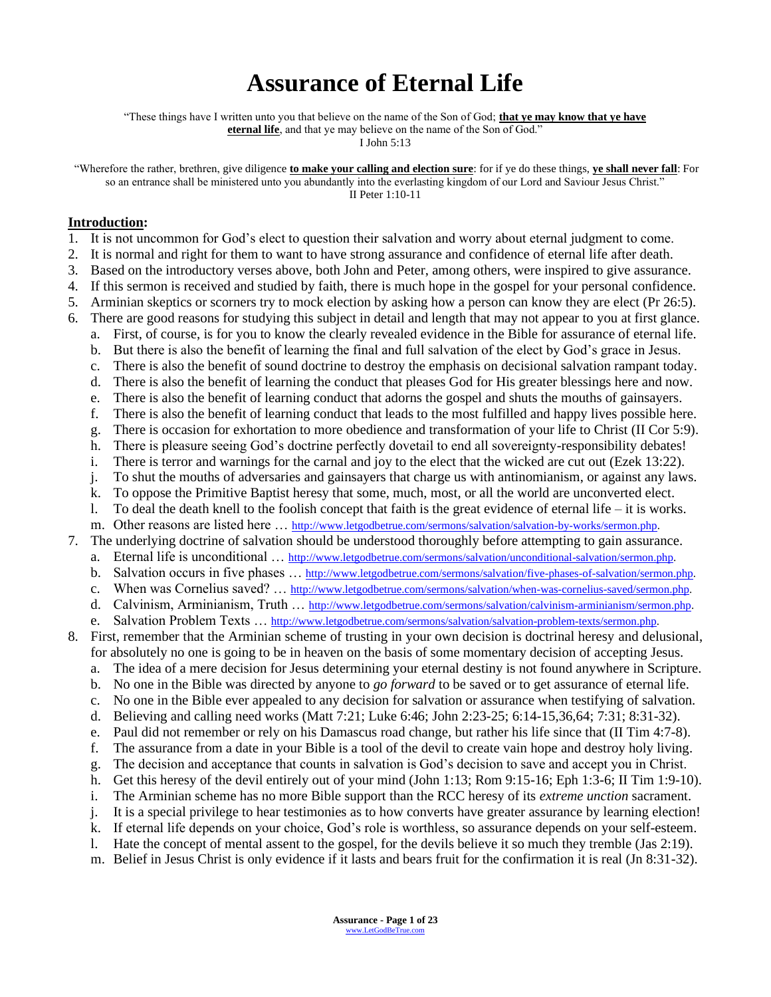# **Assurance of Eternal Life**

"These things have I written unto you that believe on the name of the Son of God; **that ye may know that ye have** 

**eternal life**, and that ye may believe on the name of the Son of God."

I John 5:13

"Wherefore the rather, brethren, give diligence **to make your calling and election sure**: for if ye do these things, **ye shall never fall**: For so an entrance shall be ministered unto you abundantly into the everlasting kingdom of our Lord and Saviour Jesus Christ." II Peter 1:10-11

#### **Introduction:**

- 1. It is not uncommon for God's elect to question their salvation and worry about eternal judgment to come.
- 2. It is normal and right for them to want to have strong assurance and confidence of eternal life after death.
- 3. Based on the introductory verses above, both John and Peter, among others, were inspired to give assurance.
- 4. If this sermon is received and studied by faith, there is much hope in the gospel for your personal confidence.
- 5. Arminian skeptics or scorners try to mock election by asking how a person can know they are elect (Pr 26:5).
- 6. There are good reasons for studying this subject in detail and length that may not appear to you at first glance.
	- a. First, of course, is for you to know the clearly revealed evidence in the Bible for assurance of eternal life.
	- b. But there is also the benefit of learning the final and full salvation of the elect by God's grace in Jesus.
	- c. There is also the benefit of sound doctrine to destroy the emphasis on decisional salvation rampant today.
	- d. There is also the benefit of learning the conduct that pleases God for His greater blessings here and now.
	- e. There is also the benefit of learning conduct that adorns the gospel and shuts the mouths of gainsayers.
	- f. There is also the benefit of learning conduct that leads to the most fulfilled and happy lives possible here.
	- g. There is occasion for exhortation to more obedience and transformation of your life to Christ (II Cor 5:9).
	- h. There is pleasure seeing God's doctrine perfectly dovetail to end all sovereignty-responsibility debates!
	- i. There is terror and warnings for the carnal and joy to the elect that the wicked are cut out (Ezek 13:22).
	- j. To shut the mouths of adversaries and gainsayers that charge us with antinomianism, or against any laws.
	- k. To oppose the Primitive Baptist heresy that some, much, most, or all the world are unconverted elect.
	- l. To deal the death knell to the foolish concept that faith is the great evidence of eternal life it is works.
- m. Other reasons are listed here … [http://www.letgodbetrue.com/sermons/salvation/salvation-by-works/sermon.php.](http://www.letgodbetrue.com/sermons/salvation/salvation-by-works/sermon.php) 7. The underlying doctrine of salvation should be understood thoroughly before attempting to gain assurance.
	-
	- a. Eternal life is unconditional … [http://www.letgodbetrue.com/sermons/salvation/unconditional-salvation/sermon.php.](http://www.letgodbetrue.com/sermons/salvation/unconditional-salvation/sermon.php)
	- b. Salvation occurs in five phases … [http://www.letgodbetrue.com/sermons/salvation/five-phases-of-salvation/sermon.php.](http://www.letgodbetrue.com/sermons/salvation/five-phases-of-salvation/sermon.php)
	- c. When was Cornelius saved? … [http://www.letgodbetrue.com/sermons/salvation/when-was-cornelius-saved/sermon.php.](http://www.letgodbetrue.com/sermons/salvation/when-was-cornelius-saved/sermon.php)
	- d. Calvinism, Arminianism, Truth … [http://www.letgodbetrue.com/sermons/salvation/calvinism-arminianism/sermon.php.](http://www.letgodbetrue.com/sermons/salvation/calvinism-arminianism/sermon.php)
	- e. Salvation Problem Texts … [http://www.letgodbetrue.com/sermons/salvation/salvation-problem-texts/sermon.php.](http://www.letgodbetrue.com/sermons/salvation/salvation-problem-texts/sermon.php)
- 8. First, remember that the Arminian scheme of trusting in your own decision is doctrinal heresy and delusional, for absolutely no one is going to be in heaven on the basis of some momentary decision of accepting Jesus.
	- a. The idea of a mere decision for Jesus determining your eternal destiny is not found anywhere in Scripture.
	- b. No one in the Bible was directed by anyone to *go forward* to be saved or to get assurance of eternal life.
	- c. No one in the Bible ever appealed to any decision for salvation or assurance when testifying of salvation.
	- d. Believing and calling need works (Matt 7:21; Luke 6:46; John 2:23-25; 6:14-15,36,64; 7:31; 8:31-32).
	- e. Paul did not remember or rely on his Damascus road change, but rather his life since that (II Tim 4:7-8).
	- f. The assurance from a date in your Bible is a tool of the devil to create vain hope and destroy holy living.
	- g. The decision and acceptance that counts in salvation is God's decision to save and accept you in Christ.
	- h. Get this heresy of the devil entirely out of your mind (John 1:13; Rom 9:15-16; Eph 1:3-6; II Tim 1:9-10).
	- i. The Arminian scheme has no more Bible support than the RCC heresy of its *extreme unction* sacrament.
	- j. It is a special privilege to hear testimonies as to how converts have greater assurance by learning election!
	- k. If eternal life depends on your choice, God's role is worthless, so assurance depends on your self-esteem.
	- l. Hate the concept of mental assent to the gospel, for the devils believe it so much they tremble (Jas 2:19).
	- m. Belief in Jesus Christ is only evidence if it lasts and bears fruit for the confirmation it is real (Jn 8:31-32).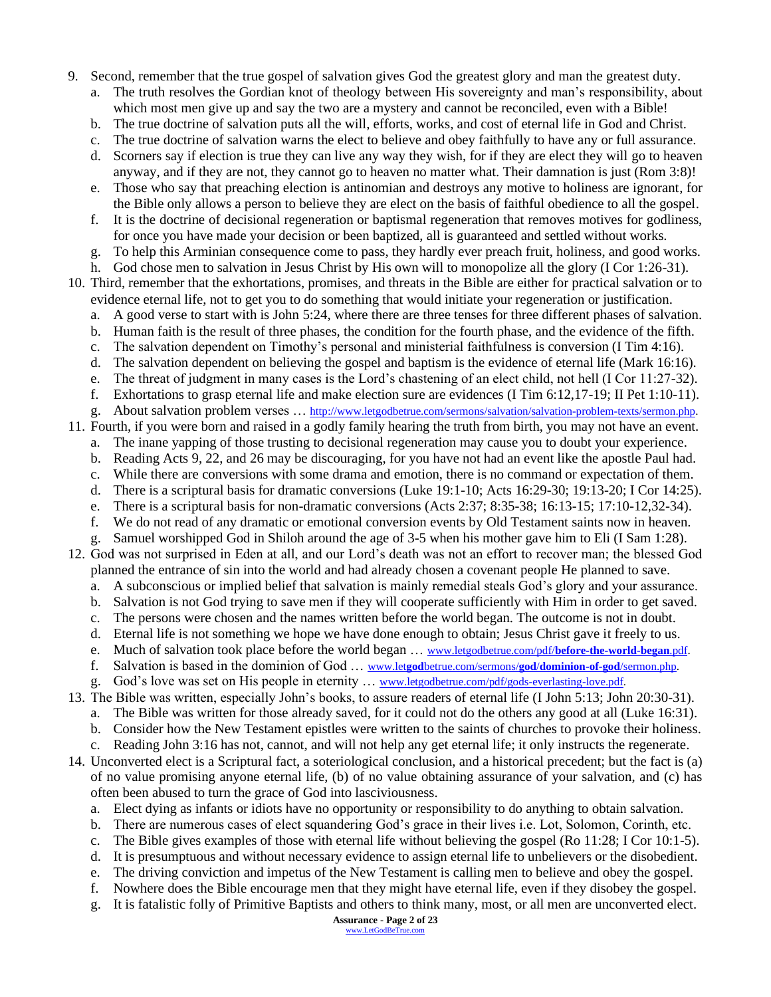- 9. Second, remember that the true gospel of salvation gives God the greatest glory and man the greatest duty.
	- The truth resolves the Gordian knot of theology between His sovereignty and man's responsibility, about which most men give up and say the two are a mystery and cannot be reconciled, even with a Bible!
	- b. The true doctrine of salvation puts all the will, efforts, works, and cost of eternal life in God and Christ.
	- c. The true doctrine of salvation warns the elect to believe and obey faithfully to have any or full assurance.
	- d. Scorners say if election is true they can live any way they wish, for if they are elect they will go to heaven anyway, and if they are not, they cannot go to heaven no matter what. Their damnation is just (Rom 3:8)!
	- e. Those who say that preaching election is antinomian and destroys any motive to holiness are ignorant, for the Bible only allows a person to believe they are elect on the basis of faithful obedience to all the gospel.
	- f. It is the doctrine of decisional regeneration or baptismal regeneration that removes motives for godliness, for once you have made your decision or been baptized, all is guaranteed and settled without works.
	- g. To help this Arminian consequence come to pass, they hardly ever preach fruit, holiness, and good works.
	- h. God chose men to salvation in Jesus Christ by His own will to monopolize all the glory (I Cor 1:26-31).

10. Third, remember that the exhortations, promises, and threats in the Bible are either for practical salvation or to evidence eternal life, not to get you to do something that would initiate your regeneration or justification.

- a. A good verse to start with is John 5:24, where there are three tenses for three different phases of salvation.
- b. Human faith is the result of three phases, the condition for the fourth phase, and the evidence of the fifth.
- c. The salvation dependent on Timothy's personal and ministerial faithfulness is conversion (I Tim 4:16).
- d. The salvation dependent on believing the gospel and baptism is the evidence of eternal life (Mark 16:16).
- e. The threat of judgment in many cases is the Lord's chastening of an elect child, not hell (I Cor 11:27-32).
- f. Exhortations to grasp eternal life and make election sure are evidences (I Tim 6:12,17-19; II Pet 1:10-11).
- g. About salvation problem verses … [http://www.letgodbetrue.com/sermons/salvation/salvation-problem-texts/sermon.php.](http://www.letgodbetrue.com/sermons/salvation/salvation-problem-texts/sermon.php)
- 11. Fourth, if you were born and raised in a godly family hearing the truth from birth, you may not have an event.
	- a. The inane yapping of those trusting to decisional regeneration may cause you to doubt your experience.
	- b. Reading Acts 9, 22, and 26 may be discouraging, for you have not had an event like the apostle Paul had.
	- c. While there are conversions with some drama and emotion, there is no command or expectation of them. d. There is a scriptural basis for dramatic conversions (Luke 19:1-10; Acts 16:29-30; 19:13-20; I Cor 14:25).
	- e. There is a scriptural basis for non-dramatic conversions (Acts 2:37; 8:35-38; 16:13-15; 17:10-12,32-34).
	- f. We do not read of any dramatic or emotional conversion events by Old Testament saints now in heaven.
	- g. Samuel worshipped God in Shiloh around the age of 3-5 when his mother gave him to Eli (I Sam 1:28).
- 12. God was not surprised in Eden at all, and our Lord's death was not an effort to recover man; the blessed God planned the entrance of sin into the world and had already chosen a covenant people He planned to save.
	- a. A subconscious or implied belief that salvation is mainly remedial steals God's glory and your assurance.
	- b. Salvation is not God trying to save men if they will cooperate sufficiently with Him in order to get saved.
	- c. The persons were chosen and the names written before the world began. The outcome is not in doubt.
	- d. Eternal life is not something we hope we have done enough to obtain; Jesus Christ gave it freely to us.
	- e. Much of salvation took place before the world began … [www.letgodbetrue.com/pdf/](http://www.letgodbetrue.com/pdf/before-the-world-began.pdf)**before-the-world**-**began**.pdf.
	- f. Salvation is based in the dominion of God … www.let**god**[betrue.com/sermons/](http://www.letgodbetrue.com/sermons/god/dominion-of-god/sermon.php)**god**/**dominion-of-god**/sermon.php.
	- g. God's love was set on His people in eternity … [www.letgodbetrue.com/pdf/gods-everlasting-love.pdf.](http://www.letgodbetrue.com/pdf/gods-everlasting-love.pdf)
- 13. The Bible was written, especially John's books, to assure readers of eternal life (I John 5:13; John 20:30-31).
	- a. The Bible was written for those already saved, for it could not do the others any good at all (Luke 16:31).
	- b. Consider how the New Testament epistles were written to the saints of churches to provoke their holiness.
	- c. Reading John 3:16 has not, cannot, and will not help any get eternal life; it only instructs the regenerate.
- 14. Unconverted elect is a Scriptural fact, a soteriological conclusion, and a historical precedent; but the fact is (a) of no value promising anyone eternal life, (b) of no value obtaining assurance of your salvation, and (c) has often been abused to turn the grace of God into lasciviousness.
	- a. Elect dying as infants or idiots have no opportunity or responsibility to do anything to obtain salvation.
	- b. There are numerous cases of elect squandering God's grace in their lives i.e. Lot, Solomon, Corinth, etc.
	- c. The Bible gives examples of those with eternal life without believing the gospel (Ro 11:28; I Cor 10:1-5).
	- d. It is presumptuous and without necessary evidence to assign eternal life to unbelievers or the disobedient.
	- e. The driving conviction and impetus of the New Testament is calling men to believe and obey the gospel.
	- f. Nowhere does the Bible encourage men that they might have eternal life, even if they disobey the gospel.
	- g. It is fatalistic folly of Primitive Baptists and others to think many, most, or all men are unconverted elect.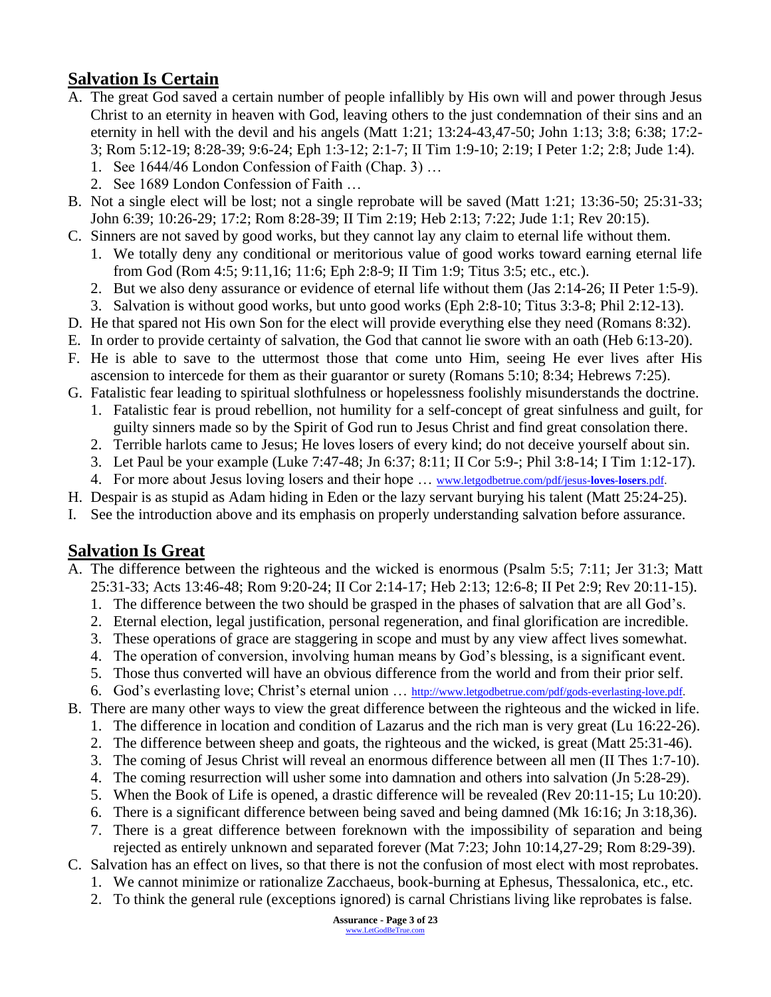## **Salvation Is Certain**

- A. The great God saved a certain number of people infallibly by His own will and power through Jesus Christ to an eternity in heaven with God, leaving others to the just condemnation of their sins and an eternity in hell with the devil and his angels (Matt 1:21; 13:24-43,47-50; John 1:13; 3:8; 6:38; 17:2- 3; Rom 5:12-19; 8:28-39; 9:6-24; Eph 1:3-12; 2:1-7; II Tim 1:9-10; 2:19; I Peter 1:2; 2:8; Jude 1:4).
	- 1. See 1644/46 London Confession of Faith (Chap. 3) …
	- 2. See 1689 London Confession of Faith …
- B. Not a single elect will be lost; not a single reprobate will be saved (Matt 1:21; 13:36-50; 25:31-33; John 6:39; 10:26-29; 17:2; Rom 8:28-39; II Tim 2:19; Heb 2:13; 7:22; Jude 1:1; Rev 20:15).
- C. Sinners are not saved by good works, but they cannot lay any claim to eternal life without them.
	- 1. We totally deny any conditional or meritorious value of good works toward earning eternal life from God (Rom 4:5; 9:11,16; 11:6; Eph 2:8-9; II Tim 1:9; Titus 3:5; etc., etc.).
	- 2. But we also deny assurance or evidence of eternal life without them (Jas 2:14-26; II Peter 1:5-9).
	- 3. Salvation is without good works, but unto good works (Eph 2:8-10; Titus 3:3-8; Phil 2:12-13).
- D. He that spared not His own Son for the elect will provide everything else they need (Romans 8:32).
- E. In order to provide certainty of salvation, the God that cannot lie swore with an oath (Heb 6:13-20).
- F. He is able to save to the uttermost those that come unto Him, seeing He ever lives after His ascension to intercede for them as their guarantor or surety (Romans 5:10; 8:34; Hebrews 7:25).
- G. Fatalistic fear leading to spiritual slothfulness or hopelessness foolishly misunderstands the doctrine.
	- 1. Fatalistic fear is proud rebellion, not humility for a self-concept of great sinfulness and guilt, for guilty sinners made so by the Spirit of God run to Jesus Christ and find great consolation there.
	- 2. Terrible harlots came to Jesus; He loves losers of every kind; do not deceive yourself about sin.
	- 3. Let Paul be your example (Luke 7:47-48; Jn 6:37; 8:11; II Cor 5:9-; Phil 3:8-14; I Tim 1:12-17).
	- 4. For more about Jesus loving losers and their hope … [www.letgodbetrue.com/pdf/jesus-](http://www.letgodbetrue.com/pdf/jesus-loves-losers.pdf)**loves**-**losers**.pdf.
- H. Despair is as stupid as Adam hiding in Eden or the lazy servant burying his talent (Matt 25:24-25).
- I. See the introduction above and its emphasis on properly understanding salvation before assurance.

### **Salvation Is Great**

- A. The difference between the righteous and the wicked is enormous (Psalm 5:5; 7:11; Jer 31:3; Matt 25:31-33; Acts 13:46-48; Rom 9:20-24; II Cor 2:14-17; Heb 2:13; 12:6-8; II Pet 2:9; Rev 20:11-15).
	- 1. The difference between the two should be grasped in the phases of salvation that are all God's.
	- 2. Eternal election, legal justification, personal regeneration, and final glorification are incredible.
	- 3. These operations of grace are staggering in scope and must by any view affect lives somewhat.
	- 4. The operation of conversion, involving human means by God's blessing, is a significant event.
	- 5. Those thus converted will have an obvious difference from the world and from their prior self.
	- 6. God's everlasting love; Christ's eternal union … [http://www.letgodbetrue.com/pdf/gods-everlasting-love.pdf.](http://www.letgodbetrue.com/pdf/gods-everlasting-love.pdf)
- B. There are many other ways to view the great difference between the righteous and the wicked in life.
	- 1. The difference in location and condition of Lazarus and the rich man is very great (Lu 16:22-26).
	- 2. The difference between sheep and goats, the righteous and the wicked, is great (Matt 25:31-46).
	- 3. The coming of Jesus Christ will reveal an enormous difference between all men (II Thes 1:7-10).
	- 4. The coming resurrection will usher some into damnation and others into salvation (Jn 5:28-29).
	- 5. When the Book of Life is opened, a drastic difference will be revealed (Rev 20:11-15; Lu 10:20).
	- 6. There is a significant difference between being saved and being damned (Mk 16:16; Jn 3:18,36).
	- 7. There is a great difference between foreknown with the impossibility of separation and being rejected as entirely unknown and separated forever (Mat 7:23; John 10:14,27-29; Rom 8:29-39).
- C. Salvation has an effect on lives, so that there is not the confusion of most elect with most reprobates.
	- 1. We cannot minimize or rationalize Zacchaeus, book-burning at Ephesus, Thessalonica, etc., etc.
	- 2. To think the general rule (exceptions ignored) is carnal Christians living like reprobates is false.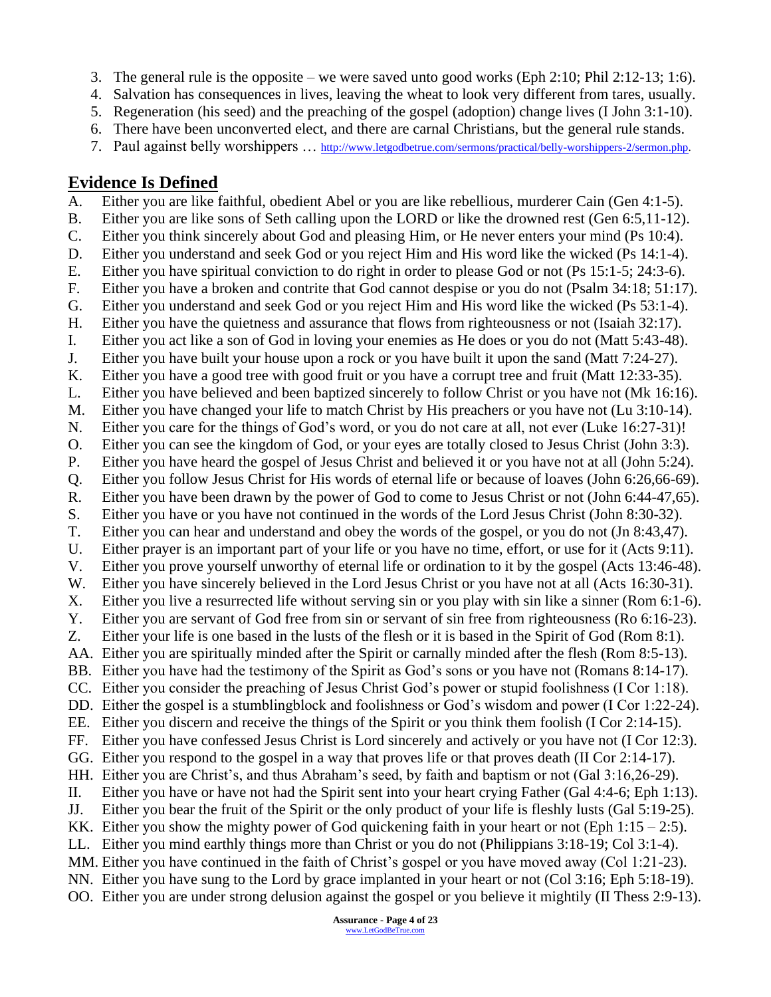- 3. The general rule is the opposite we were saved unto good works (Eph 2:10; Phil 2:12-13; 1:6).
- 4. Salvation has consequences in lives, leaving the wheat to look very different from tares, usually.
- 5. Regeneration (his seed) and the preaching of the gospel (adoption) change lives (I John 3:1-10).
- 6. There have been unconverted elect, and there are carnal Christians, but the general rule stands.
- 7. Paul against belly worshippers ... [http://www.letgodbetrue.com/sermons/practical/belly-worshippers-2/sermon.php.](http://www.letgodbetrue.com/sermons/practical/belly-worshippers-2/sermon.php)

#### **Evidence Is Defined**

A. Either you are like faithful, obedient Abel or you are like rebellious, murderer Cain (Gen 4:1-5). B. Either you are like sons of Seth calling upon the LORD or like the drowned rest (Gen 6:5,11-12). C. Either you think sincerely about God and pleasing Him, or He never enters your mind (Ps 10:4). D. Either you understand and seek God or you reject Him and His word like the wicked (Ps 14:1-4). E. Either you have spiritual conviction to do right in order to please God or not (Ps 15:1-5; 24:3-6). F. Either you have a broken and contrite that God cannot despise or you do not (Psalm 34:18; 51:17). G. Either you understand and seek God or you reject Him and His word like the wicked (Ps 53:1-4). H. Either you have the quietness and assurance that flows from righteousness or not (Isaiah 32:17). I. Either you act like a son of God in loving your enemies as He does or you do not (Matt 5:43-48). J. Either you have built your house upon a rock or you have built it upon the sand (Matt 7:24-27). K. Either you have a good tree with good fruit or you have a corrupt tree and fruit (Matt 12:33-35). L. Either you have believed and been baptized sincerely to follow Christ or you have not (Mk 16:16). M. Either you have changed your life to match Christ by His preachers or you have not (Lu 3:10-14). N. Either you care for the things of God's word, or you do not care at all, not ever (Luke 16:27-31)! O. Either you can see the kingdom of God, or your eyes are totally closed to Jesus Christ (John 3:3). P. Either you have heard the gospel of Jesus Christ and believed it or you have not at all (John 5:24). Q. Either you follow Jesus Christ for His words of eternal life or because of loaves (John 6:26,66-69). R. Either you have been drawn by the power of God to come to Jesus Christ or not (John 6:44-47,65). S. Either you have or you have not continued in the words of the Lord Jesus Christ (John 8:30-32). T. Either you can hear and understand and obey the words of the gospel, or you do not (Jn 8:43,47). U. Either prayer is an important part of your life or you have no time, effort, or use for it (Acts 9:11). V. Either you prove yourself unworthy of eternal life or ordination to it by the gospel (Acts 13:46-48). W. Either you have sincerely believed in the Lord Jesus Christ or you have not at all (Acts 16:30-31). X. Either you live a resurrected life without serving sin or you play with sin like a sinner (Rom 6:1-6). Y. Either you are servant of God free from sin or servant of sin free from righteousness (Ro 6:16-23). Z. Either your life is one based in the lusts of the flesh or it is based in the Spirit of God (Rom 8:1). AA. Either you are spiritually minded after the Spirit or carnally minded after the flesh (Rom 8:5-13). BB. Either you have had the testimony of the Spirit as God's sons or you have not (Romans 8:14-17). CC. Either you consider the preaching of Jesus Christ God's power or stupid foolishness (I Cor 1:18). DD. Either the gospel is a stumblingblock and foolishness or God's wisdom and power (I Cor 1:22-24). EE. Either you discern and receive the things of the Spirit or you think them foolish (I Cor 2:14-15). FF. Either you have confessed Jesus Christ is Lord sincerely and actively or you have not (I Cor 12:3). GG. Either you respond to the gospel in a way that proves life or that proves death (II Cor 2:14-17). HH. Either you are Christ's, and thus Abraham's seed, by faith and baptism or not (Gal 3:16,26-29). II. Either you have or have not had the Spirit sent into your heart crying Father (Gal 4:4-6; Eph 1:13). JJ. Either you bear the fruit of the Spirit or the only product of your life is fleshly lusts (Gal 5:19-25). KK. Either you show the mighty power of God quickening faith in your heart or not (Eph  $1:15 - 2:5$ ). LL. Either you mind earthly things more than Christ or you do not (Philippians 3:18-19; Col 3:1-4). MM. Either you have continued in the faith of Christ's gospel or you have moved away (Col 1:21-23). NN. Either you have sung to the Lord by grace implanted in your heart or not (Col 3:16; Eph 5:18-19). OO. Either you are under strong delusion against the gospel or you believe it mightily (II Thess 2:9-13).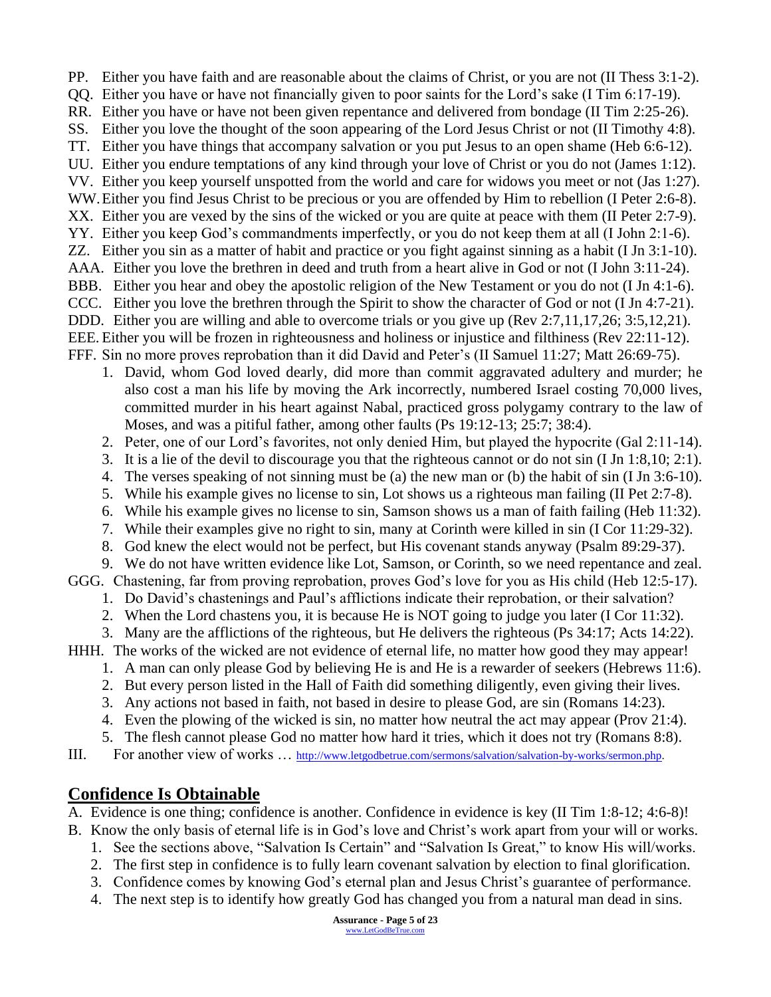- PP. Either you have faith and are reasonable about the claims of Christ, or you are not (II Thess 3:1-2).
- QQ. Either you have or have not financially given to poor saints for the Lord's sake (I Tim 6:17-19).
- RR. Either you have or have not been given repentance and delivered from bondage (II Tim 2:25-26).
- SS. Either you love the thought of the soon appearing of the Lord Jesus Christ or not (II Timothy 4:8). TT. Either you have things that accompany salvation or you put Jesus to an open shame (Heb 6:6-12).
- UU. Either you endure temptations of any kind through your love of Christ or you do not (James 1:12).
- VV. Either you keep yourself unspotted from the world and care for widows you meet or not (Jas 1:27).
- WW. Either you find Jesus Christ to be precious or you are offended by Him to rebellion (I Peter 2:6-8).
- XX. Either you are vexed by the sins of the wicked or you are quite at peace with them (II Peter 2:7-9).
- YY. Either you keep God's commandments imperfectly, or you do not keep them at all (I John 2:1-6).
- ZZ. Either you sin as a matter of habit and practice or you fight against sinning as a habit (I Jn 3:1-10).
- AAA. Either you love the brethren in deed and truth from a heart alive in God or not (I John 3:11-24). BBB. Either you hear and obey the apostolic religion of the New Testament or you do not (I Jn 4:1-6).
- CCC. Either you love the brethren through the Spirit to show the character of God or not (I Jn 4:7-21).
- DDD. Either you are willing and able to overcome trials or you give up (Rev 2:7,11,17,26; 3:5,12,21).
- EEE. Either you will be frozen in righteousness and holiness or injustice and filthiness (Rev 22:11-12).
- FFF. Sin no more proves reprobation than it did David and Peter's (II Samuel 11:27; Matt 26:69-75).
	- 1. David, whom God loved dearly, did more than commit aggravated adultery and murder; he also cost a man his life by moving the Ark incorrectly, numbered Israel costing 70,000 lives, committed murder in his heart against Nabal, practiced gross polygamy contrary to the law of Moses, and was a pitiful father, among other faults (Ps 19:12-13; 25:7; 38:4).
	- 2. Peter, one of our Lord's favorites, not only denied Him, but played the hypocrite (Gal 2:11-14).
	- 3. It is a lie of the devil to discourage you that the righteous cannot or do not sin (I Jn 1:8,10; 2:1).
	- 4. The verses speaking of not sinning must be (a) the new man or (b) the habit of sin (I Jn 3:6-10).
	- 5. While his example gives no license to sin, Lot shows us a righteous man failing (II Pet 2:7-8).
	- 6. While his example gives no license to sin, Samson shows us a man of faith failing (Heb 11:32).
	- 7. While their examples give no right to sin, many at Corinth were killed in sin (I Cor 11:29-32).
	- 8. God knew the elect would not be perfect, but His covenant stands anyway (Psalm 89:29-37).
- 9. We do not have written evidence like Lot, Samson, or Corinth, so we need repentance and zeal. GGG. Chastening, far from proving reprobation, proves God's love for you as His child (Heb 12:5-17).
	- 1. Do David's chastenings and Paul's afflictions indicate their reprobation, or their salvation?
	- 2. When the Lord chastens you, it is because He is NOT going to judge you later (I Cor 11:32).
	- 3. Many are the afflictions of the righteous, but He delivers the righteous (Ps 34:17; Acts 14:22).
- HHH. The works of the wicked are not evidence of eternal life, no matter how good they may appear!
	- 1. A man can only please God by believing He is and He is a rewarder of seekers (Hebrews 11:6).
	- 2. But every person listed in the Hall of Faith did something diligently, even giving their lives.
	- 3. Any actions not based in faith, not based in desire to please God, are sin (Romans 14:23).
	- 4. Even the plowing of the wicked is sin, no matter how neutral the act may appear (Prov 21:4).
	- 5. The flesh cannot please God no matter how hard it tries, which it does not try (Romans 8:8).
- III. For another view of works ... [http://www.letgodbetrue.com/sermons/salvation/salvation-by-works/sermon.php.](http://www.letgodbetrue.com/sermons/salvation/salvation-by-works/sermon.php)

## **Confidence Is Obtainable**

- A. Evidence is one thing; confidence is another. Confidence in evidence is key (II Tim 1:8-12; 4:6-8)!
- B. Know the only basis of eternal life is in God's love and Christ's work apart from your will or works.
	- 1. See the sections above, "Salvation Is Certain" and "Salvation Is Great," to know His will/works.
	- 2. The first step in confidence is to fully learn covenant salvation by election to final glorification.
	- 3. Confidence comes by knowing God's eternal plan and Jesus Christ's guarantee of performance.
	- 4. The next step is to identify how greatly God has changed you from a natural man dead in sins.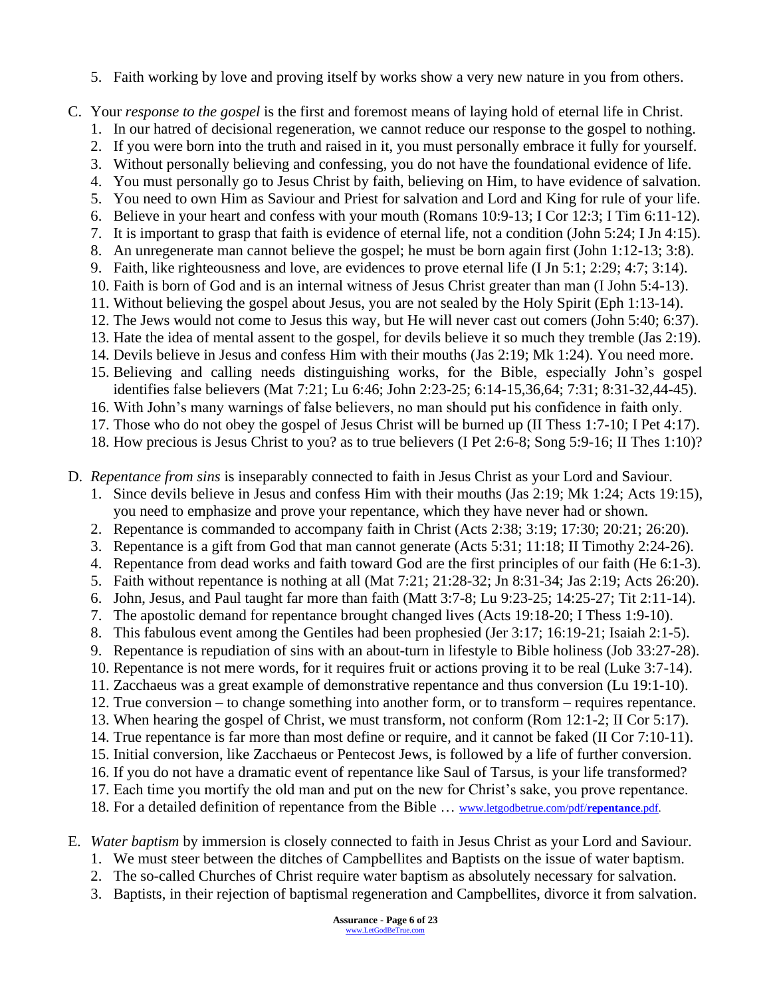- 5. Faith working by love and proving itself by works show a very new nature in you from others.
- C. Your *response to the gospel* is the first and foremost means of laying hold of eternal life in Christ.
	- 1. In our hatred of decisional regeneration, we cannot reduce our response to the gospel to nothing.
	- 2. If you were born into the truth and raised in it, you must personally embrace it fully for yourself.
	- 3. Without personally believing and confessing, you do not have the foundational evidence of life.
	- 4. You must personally go to Jesus Christ by faith, believing on Him, to have evidence of salvation.
	- 5. You need to own Him as Saviour and Priest for salvation and Lord and King for rule of your life.
	- 6. Believe in your heart and confess with your mouth (Romans 10:9-13; I Cor 12:3; I Tim 6:11-12).
	- 7. It is important to grasp that faith is evidence of eternal life, not a condition (John 5:24; I Jn 4:15).
	- 8. An unregenerate man cannot believe the gospel; he must be born again first (John 1:12-13; 3:8).
	- 9. Faith, like righteousness and love, are evidences to prove eternal life (I Jn 5:1; 2:29; 4:7; 3:14).
	- 10. Faith is born of God and is an internal witness of Jesus Christ greater than man (I John 5:4-13).
	- 11. Without believing the gospel about Jesus, you are not sealed by the Holy Spirit (Eph 1:13-14). 12. The Jews would not come to Jesus this way, but He will never cast out comers (John 5:40; 6:37).
	- 13. Hate the idea of mental assent to the gospel, for devils believe it so much they tremble (Jas 2:19).
	- 14. Devils believe in Jesus and confess Him with their mouths (Jas 2:19; Mk 1:24). You need more.
	- 15. Believing and calling needs distinguishing works, for the Bible, especially John's gospel identifies false believers (Mat 7:21; Lu 6:46; John 2:23-25; 6:14-15,36,64; 7:31; 8:31-32,44-45).
	- 16. With John's many warnings of false believers, no man should put his confidence in faith only.
	- 17. Those who do not obey the gospel of Jesus Christ will be burned up (II Thess 1:7-10; I Pet 4:17).
	- 18. How precious is Jesus Christ to you? as to true believers (I Pet 2:6-8; Song 5:9-16; II Thes 1:10)?
- D. *Repentance from sins* is inseparably connected to faith in Jesus Christ as your Lord and Saviour.
	- 1. Since devils believe in Jesus and confess Him with their mouths (Jas 2:19; Mk 1:24; Acts 19:15), you need to emphasize and prove your repentance, which they have never had or shown.
	- 2. Repentance is commanded to accompany faith in Christ (Acts 2:38; 3:19; 17:30; 20:21; 26:20).
	- 3. Repentance is a gift from God that man cannot generate (Acts 5:31; 11:18; II Timothy 2:24-26).
	- 4. Repentance from dead works and faith toward God are the first principles of our faith (He 6:1-3).
	- 5. Faith without repentance is nothing at all (Mat 7:21; 21:28-32; Jn 8:31-34; Jas 2:19; Acts 26:20).
	- 6. John, Jesus, and Paul taught far more than faith (Matt 3:7-8; Lu 9:23-25; 14:25-27; Tit 2:11-14).
	- 7. The apostolic demand for repentance brought changed lives (Acts 19:18-20; I Thess 1:9-10).
	- 8. This fabulous event among the Gentiles had been prophesied (Jer 3:17; 16:19-21; Isaiah 2:1-5).
	- 9. Repentance is repudiation of sins with an about-turn in lifestyle to Bible holiness (Job 33:27-28).
	- 10. Repentance is not mere words, for it requires fruit or actions proving it to be real (Luke 3:7-14).
	- 11. Zacchaeus was a great example of demonstrative repentance and thus conversion (Lu 19:1-10).
	- 12. True conversion to change something into another form, or to transform requires repentance.
	- 13. When hearing the gospel of Christ, we must transform, not conform (Rom 12:1-2; II Cor 5:17).
	- 14. True repentance is far more than most define or require, and it cannot be faked (II Cor 7:10-11).
	- 15. Initial conversion, like Zacchaeus or Pentecost Jews, is followed by a life of further conversion.
	- 16. If you do not have a dramatic event of repentance like Saul of Tarsus, is your life transformed?
	- 17. Each time you mortify the old man and put on the new for Christ's sake, you prove repentance.
	- 18. For a detailed definition of repentance from the Bible … [www.letgodbetrue.com/pdf/](http://www.letgodbetrue.com/pdf/repentance.pdf)**repentance**.pdf.
- E. *Water baptism* by immersion is closely connected to faith in Jesus Christ as your Lord and Saviour.
	- 1. We must steer between the ditches of Campbellites and Baptists on the issue of water baptism.
	- 2. The so-called Churches of Christ require water baptism as absolutely necessary for salvation.
	- 3. Baptists, in their rejection of baptismal regeneration and Campbellites, divorce it from salvation.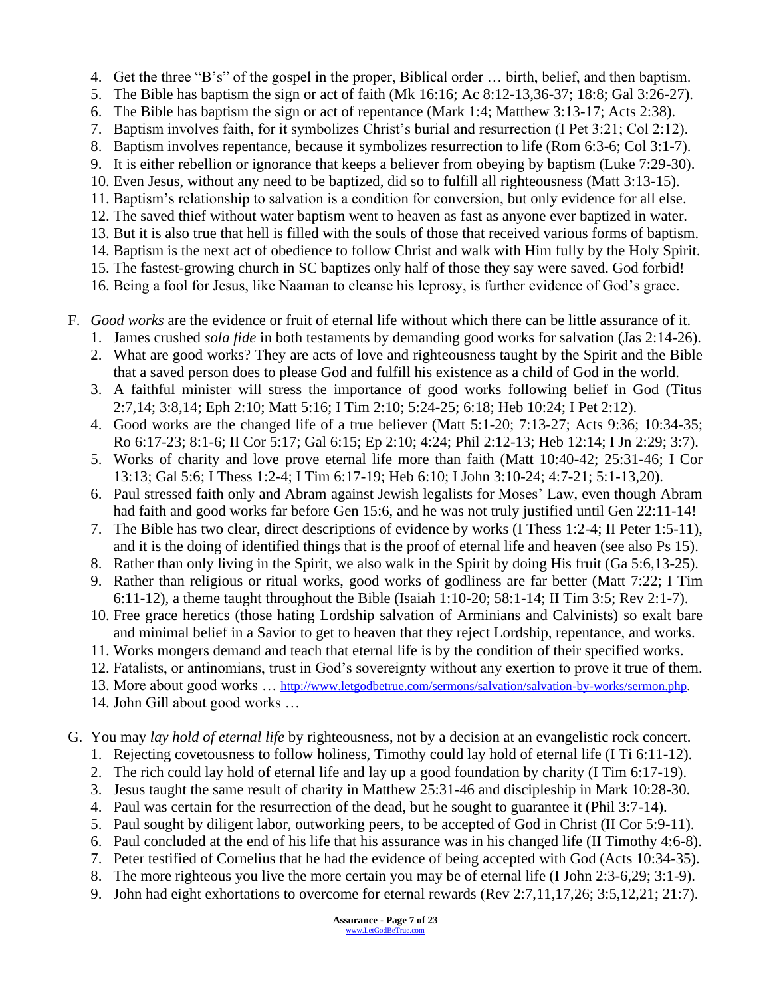- 4. Get the three "B's" of the gospel in the proper, Biblical order … birth, belief, and then baptism.
- 5. The Bible has baptism the sign or act of faith (Mk 16:16; Ac 8:12-13,36-37; 18:8; Gal 3:26-27).
- 6. The Bible has baptism the sign or act of repentance (Mark 1:4; Matthew 3:13-17; Acts 2:38).
- 7. Baptism involves faith, for it symbolizes Christ's burial and resurrection (I Pet 3:21; Col 2:12).
- 8. Baptism involves repentance, because it symbolizes resurrection to life (Rom 6:3-6; Col 3:1-7).
- 9. It is either rebellion or ignorance that keeps a believer from obeying by baptism (Luke 7:29-30).
- 10. Even Jesus, without any need to be baptized, did so to fulfill all righteousness (Matt 3:13-15).
- 11. Baptism's relationship to salvation is a condition for conversion, but only evidence for all else.
- 12. The saved thief without water baptism went to heaven as fast as anyone ever baptized in water. 13. But it is also true that hell is filled with the souls of those that received various forms of baptism.
- 14. Baptism is the next act of obedience to follow Christ and walk with Him fully by the Holy Spirit.
- 15. The fastest-growing church in SC baptizes only half of those they say were saved. God forbid!
- 16. Being a fool for Jesus, like Naaman to cleanse his leprosy, is further evidence of God's grace.
- F. *Good works* are the evidence or fruit of eternal life without which there can be little assurance of it.
	- 1. James crushed *sola fide* in both testaments by demanding good works for salvation (Jas 2:14-26).
	- 2. What are good works? They are acts of love and righteousness taught by the Spirit and the Bible that a saved person does to please God and fulfill his existence as a child of God in the world.
	- 3. A faithful minister will stress the importance of good works following belief in God (Titus 2:7,14; 3:8,14; Eph 2:10; Matt 5:16; I Tim 2:10; 5:24-25; 6:18; Heb 10:24; I Pet 2:12).
	- 4. Good works are the changed life of a true believer (Matt 5:1-20; 7:13-27; Acts 9:36; 10:34-35; Ro 6:17-23; 8:1-6; II Cor 5:17; Gal 6:15; Ep 2:10; 4:24; Phil 2:12-13; Heb 12:14; I Jn 2:29; 3:7).
	- 5. Works of charity and love prove eternal life more than faith (Matt 10:40-42; 25:31-46; I Cor 13:13; Gal 5:6; I Thess 1:2-4; I Tim 6:17-19; Heb 6:10; I John 3:10-24; 4:7-21; 5:1-13,20).
	- 6. Paul stressed faith only and Abram against Jewish legalists for Moses' Law, even though Abram had faith and good works far before Gen 15:6, and he was not truly justified until Gen 22:11-14!
	- 7. The Bible has two clear, direct descriptions of evidence by works (I Thess 1:2-4; II Peter 1:5-11), and it is the doing of identified things that is the proof of eternal life and heaven (see also Ps 15).
	- 8. Rather than only living in the Spirit, we also walk in the Spirit by doing His fruit (Ga 5:6,13-25).
	- 9. Rather than religious or ritual works, good works of godliness are far better (Matt 7:22; I Tim 6:11-12), a theme taught throughout the Bible (Isaiah 1:10-20; 58:1-14; II Tim 3:5; Rev 2:1-7).
	- 10. Free grace heretics (those hating Lordship salvation of Arminians and Calvinists) so exalt bare and minimal belief in a Savior to get to heaven that they reject Lordship, repentance, and works.
	- 11. Works mongers demand and teach that eternal life is by the condition of their specified works.
	- 12. Fatalists, or antinomians, trust in God's sovereignty without any exertion to prove it true of them.
	- 13. More about good works … [http://www.letgodbetrue.com/sermons/salvation/salvation-by-works/sermon.php.](http://www.letgodbetrue.com/sermons/salvation/salvation-by-works/sermon.php)
	- 14. John Gill about good works …
- G. You may *lay hold of eternal life* by righteousness, not by a decision at an evangelistic rock concert.
	- 1. Rejecting covetousness to follow holiness, Timothy could lay hold of eternal life (I Ti 6:11-12).
	- 2. The rich could lay hold of eternal life and lay up a good foundation by charity (I Tim 6:17-19).
	- 3. Jesus taught the same result of charity in Matthew 25:31-46 and discipleship in Mark 10:28-30.
	- 4. Paul was certain for the resurrection of the dead, but he sought to guarantee it (Phil 3:7-14).
	- 5. Paul sought by diligent labor, outworking peers, to be accepted of God in Christ (II Cor 5:9-11).
	- 6. Paul concluded at the end of his life that his assurance was in his changed life (II Timothy 4:6-8).
	- 7. Peter testified of Cornelius that he had the evidence of being accepted with God (Acts 10:34-35).
	- 8. The more righteous you live the more certain you may be of eternal life (I John 2:3-6,29; 3:1-9).
	- 9. John had eight exhortations to overcome for eternal rewards (Rev 2:7,11,17,26; 3:5,12,21; 21:7).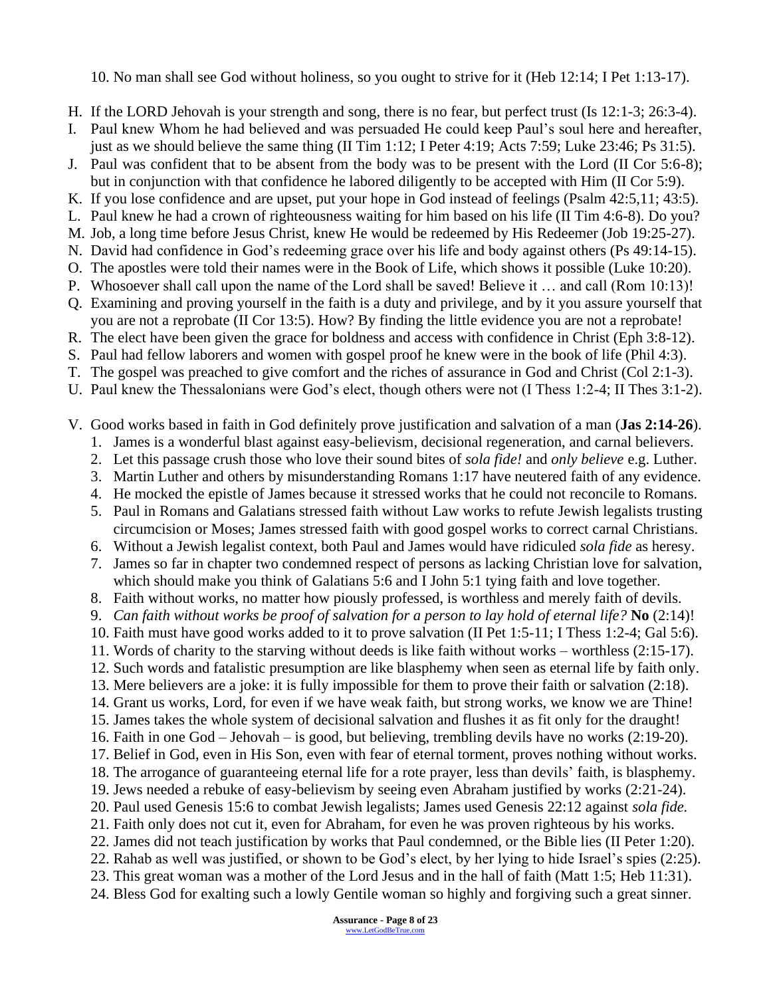10. No man shall see God without holiness, so you ought to strive for it (Heb 12:14; I Pet 1:13-17).

- H. If the LORD Jehovah is your strength and song, there is no fear, but perfect trust (Is 12:1-3; 26:3-4).
- I. Paul knew Whom he had believed and was persuaded He could keep Paul's soul here and hereafter, just as we should believe the same thing (II Tim 1:12; I Peter 4:19; Acts 7:59; Luke 23:46; Ps 31:5).
- J. Paul was confident that to be absent from the body was to be present with the Lord (II Cor 5:6-8); but in conjunction with that confidence he labored diligently to be accepted with Him (II Cor 5:9).
- K. If you lose confidence and are upset, put your hope in God instead of feelings (Psalm 42:5,11; 43:5).
- L. Paul knew he had a crown of righteousness waiting for him based on his life (II Tim 4:6-8). Do you?
- M. Job, a long time before Jesus Christ, knew He would be redeemed by His Redeemer (Job 19:25-27).
- N. David had confidence in God's redeeming grace over his life and body against others (Ps 49:14-15).
- O. The apostles were told their names were in the Book of Life, which shows it possible (Luke 10:20).
- P. Whosoever shall call upon the name of the Lord shall be saved! Believe it … and call (Rom 10:13)!
- Q. Examining and proving yourself in the faith is a duty and privilege, and by it you assure yourself that you are not a reprobate (II Cor 13:5). How? By finding the little evidence you are not a reprobate!
- R. The elect have been given the grace for boldness and access with confidence in Christ (Eph 3:8-12).
- S. Paul had fellow laborers and women with gospel proof he knew were in the book of life (Phil 4:3).
- T. The gospel was preached to give comfort and the riches of assurance in God and Christ (Col 2:1-3).
- U. Paul knew the Thessalonians were God's elect, though others were not (I Thess 1:2-4; II Thes 3:1-2).
- V. Good works based in faith in God definitely prove justification and salvation of a man (**Jas 2:14-26**).
	- 1. James is a wonderful blast against easy-believism, decisional regeneration, and carnal believers.
	- 2. Let this passage crush those who love their sound bites of *sola fide!* and *only believe* e.g. Luther.
	- 3. Martin Luther and others by misunderstanding Romans 1:17 have neutered faith of any evidence.
	- 4. He mocked the epistle of James because it stressed works that he could not reconcile to Romans.
	- 5. Paul in Romans and Galatians stressed faith without Law works to refute Jewish legalists trusting circumcision or Moses; James stressed faith with good gospel works to correct carnal Christians.
	- 6. Without a Jewish legalist context, both Paul and James would have ridiculed *sola fide* as heresy.
	- 7. James so far in chapter two condemned respect of persons as lacking Christian love for salvation, which should make you think of Galatians 5:6 and I John 5:1 tying faith and love together.
	- 8. Faith without works, no matter how piously professed, is worthless and merely faith of devils.
	- 9. *Can faith without works be proof of salvation for a person to lay hold of eternal life?* **No** (2:14)!
	- 10. Faith must have good works added to it to prove salvation (II Pet 1:5-11; I Thess 1:2-4; Gal 5:6).
	- 11. Words of charity to the starving without deeds is like faith without works worthless (2:15-17).
	- 12. Such words and fatalistic presumption are like blasphemy when seen as eternal life by faith only.
	- 13. Mere believers are a joke: it is fully impossible for them to prove their faith or salvation (2:18).
	- 14. Grant us works, Lord, for even if we have weak faith, but strong works, we know we are Thine!
	- 15. James takes the whole system of decisional salvation and flushes it as fit only for the draught!
	- 16. Faith in one God Jehovah is good, but believing, trembling devils have no works (2:19-20).
	- 17. Belief in God, even in His Son, even with fear of eternal torment, proves nothing without works. 18. The arrogance of guaranteeing eternal life for a rote prayer, less than devils' faith, is blasphemy.
	- 19. Jews needed a rebuke of easy-believism by seeing even Abraham justified by works (2:21-24).
	- 20. Paul used Genesis 15:6 to combat Jewish legalists; James used Genesis 22:12 against *sola fide.*
	- 21. Faith only does not cut it, even for Abraham, for even he was proven righteous by his works.
	- 22. James did not teach justification by works that Paul condemned, or the Bible lies (II Peter 1:20).
	- 22. Rahab as well was justified, or shown to be God's elect, by her lying to hide Israel's spies (2:25).
	- 23. This great woman was a mother of the Lord Jesus and in the hall of faith (Matt 1:5; Heb 11:31).
	- 24. Bless God for exalting such a lowly Gentile woman so highly and forgiving such a great sinner.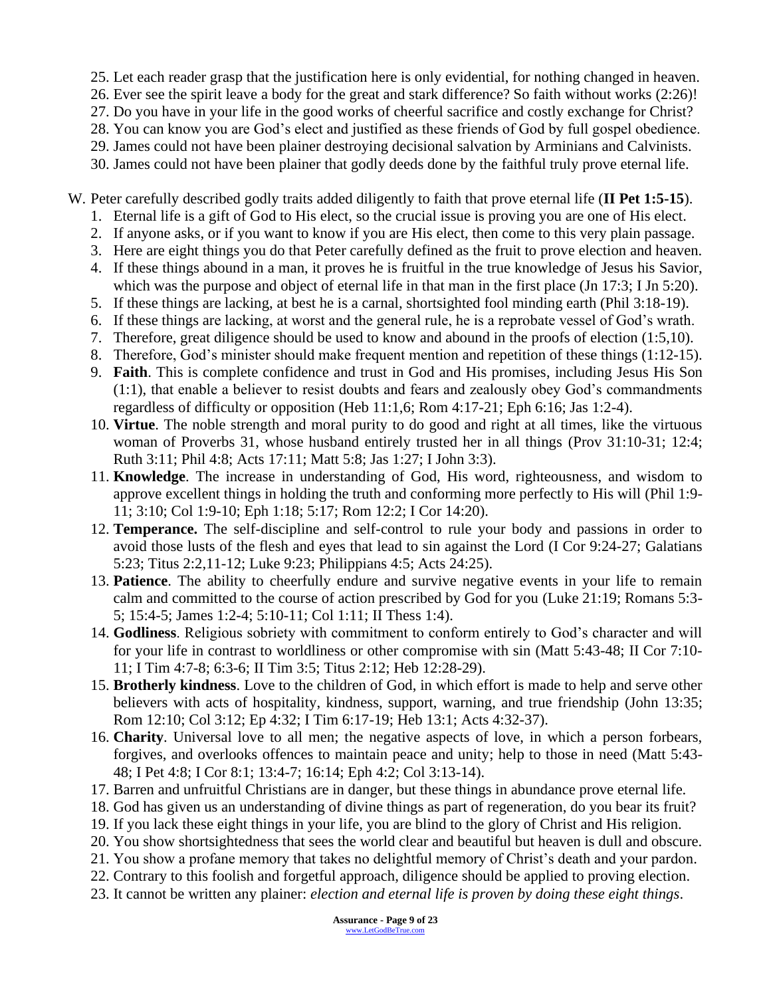25. Let each reader grasp that the justification here is only evidential, for nothing changed in heaven.

- 26. Ever see the spirit leave a body for the great and stark difference? So faith without works (2:26)!
- 27. Do you have in your life in the good works of cheerful sacrifice and costly exchange for Christ?
- 28. You can know you are God's elect and justified as these friends of God by full gospel obedience.
- 29. James could not have been plainer destroying decisional salvation by Arminians and Calvinists.
- 30. James could not have been plainer that godly deeds done by the faithful truly prove eternal life.
- W. Peter carefully described godly traits added diligently to faith that prove eternal life (**II Pet 1:5-15**).
	- 1. Eternal life is a gift of God to His elect, so the crucial issue is proving you are one of His elect.
	- 2. If anyone asks, or if you want to know if you are His elect, then come to this very plain passage.
	- 3. Here are eight things you do that Peter carefully defined as the fruit to prove election and heaven.
	- 4. If these things abound in a man, it proves he is fruitful in the true knowledge of Jesus his Savior, which was the purpose and object of eternal life in that man in the first place (Jn 17:3; I Jn 5:20).
	- 5. If these things are lacking, at best he is a carnal, shortsighted fool minding earth (Phil 3:18-19).
	- 6. If these things are lacking, at worst and the general rule, he is a reprobate vessel of God's wrath.
	- 7. Therefore, great diligence should be used to know and abound in the proofs of election (1:5,10).
	- 8. Therefore, God's minister should make frequent mention and repetition of these things (1:12-15).
	- 9. **Faith**. This is complete confidence and trust in God and His promises, including Jesus His Son (1:1), that enable a believer to resist doubts and fears and zealously obey God's commandments regardless of difficulty or opposition (Heb  $11:1,6$ ; Rom  $4:17-21$ ; Eph  $6:16$ ; Jas  $1:2-4$ ).
	- 10. **Virtue**. The noble strength and moral purity to do good and right at all times, like the virtuous woman of Proverbs 31, whose husband entirely trusted her in all things (Prov 31:10-31; 12:4; Ruth 3:11; Phil 4:8; Acts 17:11; Matt 5:8; Jas 1:27; I John 3:3).
	- 11. **Knowledge**. The increase in understanding of God, His word, righteousness, and wisdom to approve excellent things in holding the truth and conforming more perfectly to His will (Phil 1:9- 11; 3:10; Col 1:9-10; Eph 1:18; 5:17; Rom 12:2; I Cor 14:20).
	- 12. **Temperance.** The self-discipline and self-control to rule your body and passions in order to avoid those lusts of the flesh and eyes that lead to sin against the Lord (I Cor 9:24-27; Galatians 5:23; Titus 2:2,11-12; Luke 9:23; Philippians 4:5; Acts 24:25).
	- 13. **Patience**. The ability to cheerfully endure and survive negative events in your life to remain calm and committed to the course of action prescribed by God for you (Luke 21:19; Romans 5:3- 5; 15:4-5; James 1:2-4; 5:10-11; Col 1:11; II Thess 1:4).
	- 14. **Godliness**. Religious sobriety with commitment to conform entirely to God's character and will for your life in contrast to worldliness or other compromise with sin (Matt 5:43-48; II Cor 7:10- 11; I Tim 4:7-8; 6:3-6; II Tim 3:5; Titus 2:12; Heb 12:28-29).
	- 15. **Brotherly kindness**. Love to the children of God, in which effort is made to help and serve other believers with acts of hospitality, kindness, support, warning, and true friendship (John 13:35; Rom 12:10; Col 3:12; Ep 4:32; I Tim 6:17-19; Heb 13:1; Acts 4:32-37).
	- 16. **Charity**. Universal love to all men; the negative aspects of love, in which a person forbears, forgives, and overlooks offences to maintain peace and unity; help to those in need (Matt 5:43- 48; I Pet 4:8; I Cor 8:1; 13:4-7; 16:14; Eph 4:2; Col 3:13-14).
	- 17. Barren and unfruitful Christians are in danger, but these things in abundance prove eternal life.
	- 18. God has given us an understanding of divine things as part of regeneration, do you bear its fruit?
	- 19. If you lack these eight things in your life, you are blind to the glory of Christ and His religion.
	- 20. You show shortsightedness that sees the world clear and beautiful but heaven is dull and obscure.
	- 21. You show a profane memory that takes no delightful memory of Christ's death and your pardon.
	- 22. Contrary to this foolish and forgetful approach, diligence should be applied to proving election.
	- 23. It cannot be written any plainer: *election and eternal life is proven by doing these eight things*.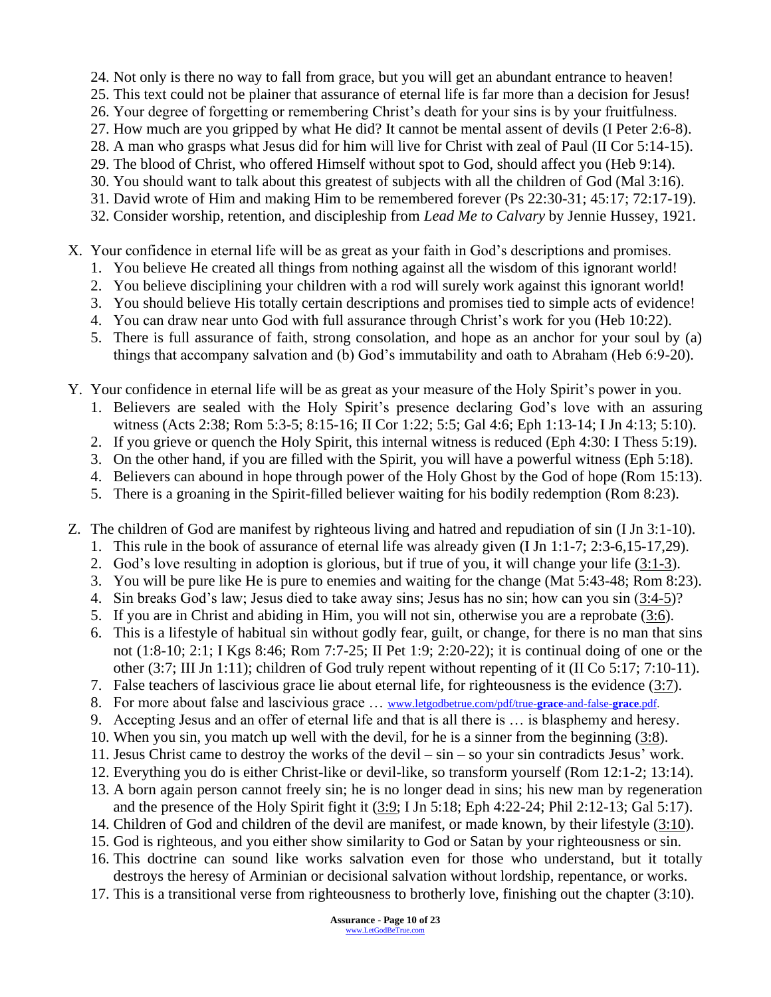24. Not only is there no way to fall from grace, but you will get an abundant entrance to heaven!

- 25. This text could not be plainer that assurance of eternal life is far more than a decision for Jesus!
- 26. Your degree of forgetting or remembering Christ's death for your sins is by your fruitfulness.
- 27. How much are you gripped by what He did? It cannot be mental assent of devils (I Peter 2:6-8).
- 28. A man who grasps what Jesus did for him will live for Christ with zeal of Paul (II Cor 5:14-15).
- 29. The blood of Christ, who offered Himself without spot to God, should affect you (Heb 9:14).
- 30. You should want to talk about this greatest of subjects with all the children of God (Mal 3:16).
- 31. David wrote of Him and making Him to be remembered forever (Ps 22:30-31; 45:17; 72:17-19).
- 32. Consider worship, retention, and discipleship from *Lead Me to Calvary* by Jennie Hussey, 1921.
- X. Your confidence in eternal life will be as great as your faith in God's descriptions and promises.
	- 1. You believe He created all things from nothing against all the wisdom of this ignorant world!
	- 2. You believe disciplining your children with a rod will surely work against this ignorant world!
	- 3. You should believe His totally certain descriptions and promises tied to simple acts of evidence!
	- 4. You can draw near unto God with full assurance through Christ's work for you (Heb 10:22).
	- 5. There is full assurance of faith, strong consolation, and hope as an anchor for your soul by (a) things that accompany salvation and (b) God's immutability and oath to Abraham (Heb 6:9-20).
- Y. Your confidence in eternal life will be as great as your measure of the Holy Spirit's power in you.
	- 1. Believers are sealed with the Holy Spirit's presence declaring God's love with an assuring witness (Acts 2:38; Rom 5:3-5; 8:15-16; II Cor 1:22; 5:5; Gal 4:6; Eph 1:13-14; I Jn 4:13; 5:10).
	- 2. If you grieve or quench the Holy Spirit, this internal witness is reduced (Eph 4:30: I Thess 5:19).
	- 3. On the other hand, if you are filled with the Spirit, you will have a powerful witness (Eph 5:18).
	- 4. Believers can abound in hope through power of the Holy Ghost by the God of hope (Rom 15:13).
	- 5. There is a groaning in the Spirit-filled believer waiting for his bodily redemption (Rom 8:23).
- Z. The children of God are manifest by righteous living and hatred and repudiation of sin (I Jn 3:1-10).
	- 1. This rule in the book of assurance of eternal life was already given (I Jn 1:1-7; 2:3-6,15-17,29).
	- 2. God's love resulting in adoption is glorious, but if true of you, it will change your life (3:1-3).
	- 3. You will be pure like He is pure to enemies and waiting for the change (Mat 5:43-48; Rom 8:23).
	- 4. Sin breaks God's law; Jesus died to take away sins; Jesus has no sin; how can you sin (3:4-5)?
	- 5. If you are in Christ and abiding in Him, you will not sin, otherwise you are a reprobate (3:6).
	- 6. This is a lifestyle of habitual sin without godly fear, guilt, or change, for there is no man that sins not (1:8-10; 2:1; I Kgs 8:46; Rom 7:7-25; II Pet 1:9; 2:20-22); it is continual doing of one or the other (3:7; III Jn 1:11); children of God truly repent without repenting of it (II Co 5:17; 7:10-11).
	- 7. False teachers of lascivious grace lie about eternal life, for righteousness is the evidence  $(3:7)$ .
	- 8. For more about false and lascivious grace … [www.letgodbetrue.com/pdf/true-](http://www.letgodbetrue.com/pdf/true-grace-and-false-grace.pdf)**grace**-and-false-**grace**.pdf.
	- 9. Accepting Jesus and an offer of eternal life and that is all there is … is blasphemy and heresy.
	- 10. When you sin, you match up well with the devil, for he is a sinner from the beginning (3:8).
	- 11. Jesus Christ came to destroy the works of the devil sin so your sin contradicts Jesus' work.
	- 12. Everything you do is either Christ-like or devil-like, so transform yourself (Rom 12:1-2; 13:14).
	- 13. A born again person cannot freely sin; he is no longer dead in sins; his new man by regeneration and the presence of the Holy Spirit fight it (3:9; I Jn 5:18; Eph 4:22-24; Phil 2:12-13; Gal 5:17).
	- 14. Children of God and children of the devil are manifest, or made known, by their lifestyle (3:10).
	- 15. God is righteous, and you either show similarity to God or Satan by your righteousness or sin.
	- 16. This doctrine can sound like works salvation even for those who understand, but it totally destroys the heresy of Arminian or decisional salvation without lordship, repentance, or works.
	- 17. This is a transitional verse from righteousness to brotherly love, finishing out the chapter (3:10).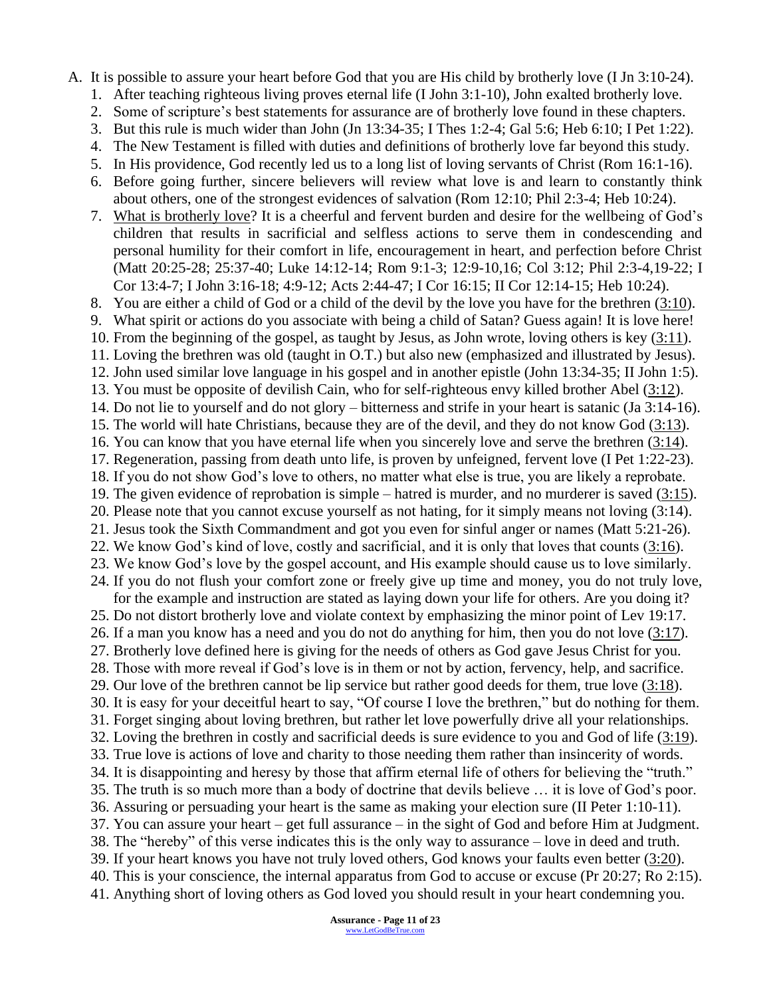A. It is possible to assure your heart before God that you are His child by brotherly love (I Jn 3:10-24).

- 1. After teaching righteous living proves eternal life (I John 3:1-10), John exalted brotherly love.
- 2. Some of scripture's best statements for assurance are of brotherly love found in these chapters.
- 3. But this rule is much wider than John (Jn 13:34-35; I Thes 1:2-4; Gal 5:6; Heb 6:10; I Pet 1:22).
- 4. The New Testament is filled with duties and definitions of brotherly love far beyond this study.
- 5. In His providence, God recently led us to a long list of loving servants of Christ (Rom 16:1-16).
- 6. Before going further, sincere believers will review what love is and learn to constantly think about others, one of the strongest evidences of salvation (Rom 12:10; Phil 2:3-4; Heb 10:24).
- 7. What is brotherly love? It is a cheerful and fervent burden and desire for the wellbeing of God's children that results in sacrificial and selfless actions to serve them in condescending and personal humility for their comfort in life, encouragement in heart, and perfection before Christ (Matt 20:25-28; 25:37-40; Luke 14:12-14; Rom 9:1-3; 12:9-10,16; Col 3:12; Phil 2:3-4,19-22; I Cor 13:4-7; I John 3:16-18; 4:9-12; Acts 2:44-47; I Cor 16:15; II Cor 12:14-15; Heb 10:24).

8. You are either a child of God or a child of the devil by the love you have for the brethren (3:10).

- 9. What spirit or actions do you associate with being a child of Satan? Guess again! It is love here!
- 10. From the beginning of the gospel, as taught by Jesus, as John wrote, loving others is key (3:11).
- 11. Loving the brethren was old (taught in O.T.) but also new (emphasized and illustrated by Jesus).
- 12. John used similar love language in his gospel and in another epistle (John 13:34-35; II John 1:5).
- 13. You must be opposite of devilish Cain, who for self-righteous envy killed brother Abel (3:12).
- 14. Do not lie to yourself and do not glory bitterness and strife in your heart is satanic (Ja 3:14-16).
- 15. The world will hate Christians, because they are of the devil, and they do not know God (3:13). 16. You can know that you have eternal life when you sincerely love and serve the brethren (3:14).
- 17. Regeneration, passing from death unto life, is proven by unfeigned, fervent love (I Pet 1:22-23).
- 18. If you do not show God's love to others, no matter what else is true, you are likely a reprobate.
- 19. The given evidence of reprobation is simple hatred is murder, and no murderer is saved (3:15).
- 20. Please note that you cannot excuse yourself as not hating, for it simply means not loving (3:14).
- 21. Jesus took the Sixth Commandment and got you even for sinful anger or names (Matt 5:21-26).
- 22. We know God's kind of love, costly and sacrificial, and it is only that loves that counts (3:16).
- 23. We know God's love by the gospel account, and His example should cause us to love similarly. 24. If you do not flush your comfort zone or freely give up time and money, you do not truly love, for the example and instruction are stated as laying down your life for others. Are you doing it?
- 25. Do not distort brotherly love and violate context by emphasizing the minor point of Lev 19:17. 26. If a man you know has a need and you do not do anything for him, then you do not love (3:17).
- 27. Brotherly love defined here is giving for the needs of others as God gave Jesus Christ for you. 28. Those with more reveal if God's love is in them or not by action, fervency, help, and sacrifice.
- 29. Our love of the brethren cannot be lip service but rather good deeds for them, true love  $(3:18)$ .
- 30. It is easy for your deceitful heart to say, "Of course I love the brethren," but do nothing for them.
- 31. Forget singing about loving brethren, but rather let love powerfully drive all your relationships. 32. Loving the brethren in costly and sacrificial deeds is sure evidence to you and God of life (3:19).
- 33. True love is actions of love and charity to those needing them rather than insincerity of words.
- 34. It is disappointing and heresy by those that affirm eternal life of others for believing the "truth." 35. The truth is so much more than a body of doctrine that devils believe … it is love of God's poor.
- 36. Assuring or persuading your heart is the same as making your election sure (II Peter 1:10-11).
- 37. You can assure your heart get full assurance in the sight of God and before Him at Judgment.
- 38. The "hereby" of this verse indicates this is the only way to assurance love in deed and truth.
- 39. If your heart knows you have not truly loved others, God knows your faults even better (3:20).
- 40. This is your conscience, the internal apparatus from God to accuse or excuse (Pr 20:27; Ro 2:15).

41. Anything short of loving others as God loved you should result in your heart condemning you.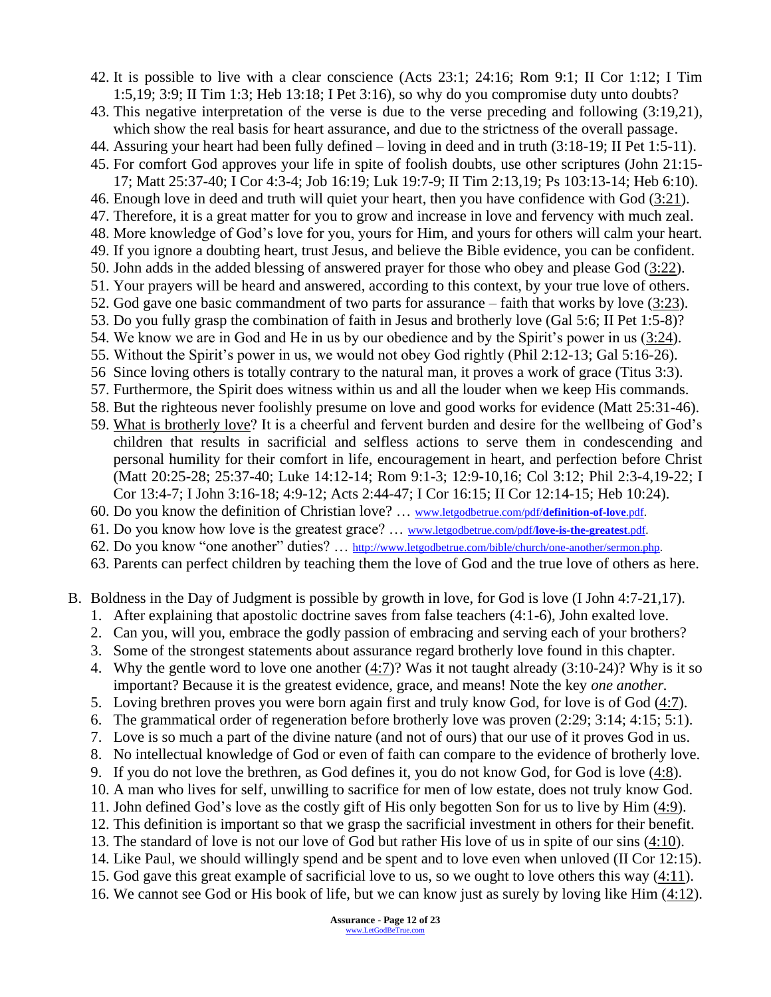42. It is possible to live with a clear conscience (Acts 23:1; 24:16; Rom 9:1; II Cor 1:12; I Tim 1:5,19; 3:9; II Tim 1:3; Heb 13:18; I Pet 3:16), so why do you compromise duty unto doubts?

43. This negative interpretation of the verse is due to the verse preceding and following (3:19,21), which show the real basis for heart assurance, and due to the strictness of the overall passage.

- 44. Assuring your heart had been fully defined loving in deed and in truth (3:18-19; II Pet 1:5-11).
- 45. For comfort God approves your life in spite of foolish doubts, use other scriptures (John 21:15- 17; Matt 25:37-40; I Cor 4:3-4; Job 16:19; Luk 19:7-9; II Tim 2:13,19; Ps 103:13-14; Heb 6:10).
- 46. Enough love in deed and truth will quiet your heart, then you have confidence with God (3:21).
- 47. Therefore, it is a great matter for you to grow and increase in love and fervency with much zeal.
- 48. More knowledge of God's love for you, yours for Him, and yours for others will calm your heart. 49. If you ignore a doubting heart, trust Jesus, and believe the Bible evidence, you can be confident.
- 50. John adds in the added blessing of answered prayer for those who obey and please God (3:22).
- 51. Your prayers will be heard and answered, according to this context, by your true love of others.
- 52. God gave one basic commandment of two parts for assurance faith that works by love (3:23).
- 53. Do you fully grasp the combination of faith in Jesus and brotherly love (Gal 5:6; II Pet 1:5-8)?
- 54. We know we are in God and He in us by our obedience and by the Spirit's power in us (3:24).
- 55. Without the Spirit's power in us, we would not obey God rightly (Phil 2:12-13; Gal 5:16-26).
- 56 Since loving others is totally contrary to the natural man, it proves a work of grace (Titus 3:3).
- 57. Furthermore, the Spirit does witness within us and all the louder when we keep His commands.
- 58. But the righteous never foolishly presume on love and good works for evidence (Matt 25:31-46).
- 59. What is brotherly love? It is a cheerful and fervent burden and desire for the wellbeing of God's children that results in sacrificial and selfless actions to serve them in condescending and personal humility for their comfort in life, encouragement in heart, and perfection before Christ (Matt 20:25-28; 25:37-40; Luke 14:12-14; Rom 9:1-3; 12:9-10,16; Col 3:12; Phil 2:3-4,19-22; I Cor 13:4-7; I John 3:16-18; 4:9-12; Acts 2:44-47; I Cor 16:15; II Cor 12:14-15; Heb 10:24).
- 60. Do you know the definition of Christian love? … [www.letgodbetrue.com/pdf/](http://www.letgodbetrue.com/pdf/definition-of-love.pdf)**definition-of-love**.pdf.
- 61. Do you know how love is the greatest grace? … [www.letgodbetrue.com/pdf/](http://www.letgodbetrue.com/pdf/love-is-the-greatest.pdf)**love-is-the-greatest**.pdf.
- 62. Do you know "one another" duties? … [http://www.letgodbetrue.com/bible/church/one-another/sermon.php.](http://www.letgodbetrue.com/bible/church/one-another/sermon.php)

63. Parents can perfect children by teaching them the love of God and the true love of others as here.

- B. Boldness in the Day of Judgment is possible by growth in love, for God is love (I John 4:7-21,17).
	- 1. After explaining that apostolic doctrine saves from false teachers (4:1-6), John exalted love.
	- 2. Can you, will you, embrace the godly passion of embracing and serving each of your brothers?
	- 3. Some of the strongest statements about assurance regard brotherly love found in this chapter.
	- 4. Why the gentle word to love one another (4:7)? Was it not taught already (3:10-24)? Why is it so important? Because it is the greatest evidence, grace, and means! Note the key *one another.*
	- 5. Loving brethren proves you were born again first and truly know God, for love is of God (4:7).
	- 6. The grammatical order of regeneration before brotherly love was proven (2:29; 3:14; 4:15; 5:1).
	- 7. Love is so much a part of the divine nature (and not of ours) that our use of it proves God in us.
	- 8. No intellectual knowledge of God or even of faith can compare to the evidence of brotherly love.
	- 9. If you do not love the brethren, as God defines it, you do not know God, for God is love (4:8).
	- 10. A man who lives for self, unwilling to sacrifice for men of low estate, does not truly know God.
	- 11. John defined God's love as the costly gift of His only begotten Son for us to live by Him (4:9).
	- 12. This definition is important so that we grasp the sacrificial investment in others for their benefit.
	- 13. The standard of love is not our love of God but rather His love of us in spite of our sins (4:10).
	- 14. Like Paul, we should willingly spend and be spent and to love even when unloved (II Cor 12:15).
	- 15. God gave this great example of sacrificial love to us, so we ought to love others this way (4:11).
	- 16. We cannot see God or His book of life, but we can know just as surely by loving like Him (4:12).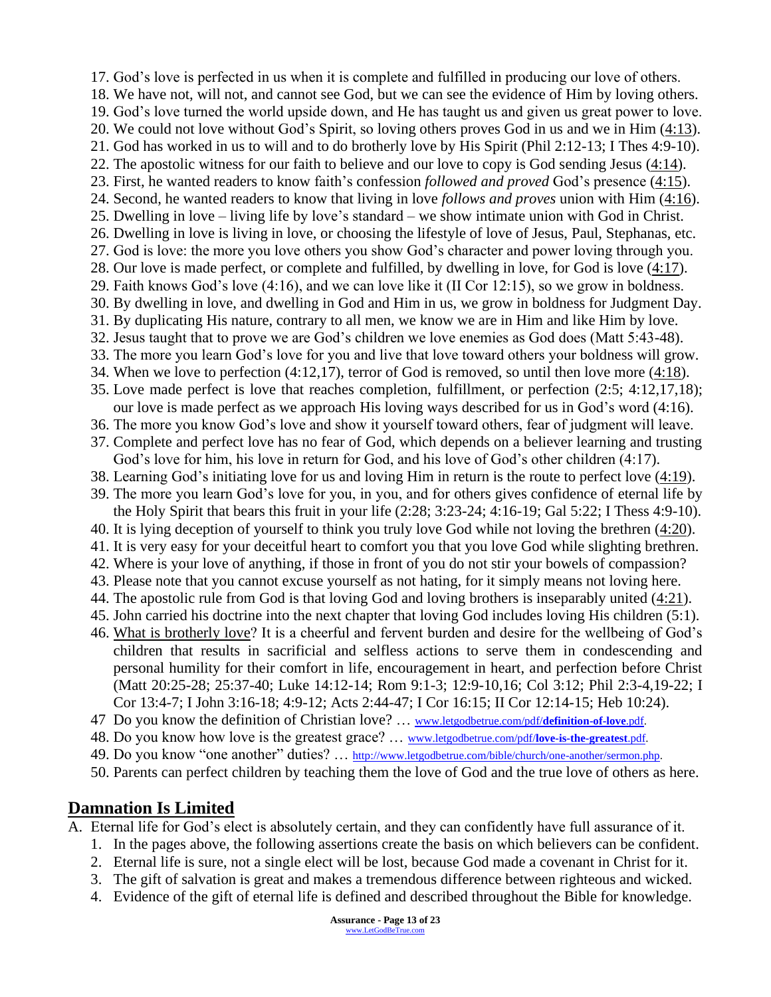17. God's love is perfected in us when it is complete and fulfilled in producing our love of others. 18. We have not, will not, and cannot see God, but we can see the evidence of Him by loving others. 19. God's love turned the world upside down, and He has taught us and given us great power to love. 20. We could not love without God's Spirit, so loving others proves God in us and we in Him (4:13). 21. God has worked in us to will and to do brotherly love by His Spirit (Phil 2:12-13; I Thes 4:9-10). 22. The apostolic witness for our faith to believe and our love to copy is God sending Jesus  $(4:14)$ . 23. First, he wanted readers to know faith's confession *followed and proved* God's presence (4:15). 24. Second, he wanted readers to know that living in love *follows and proves* union with Him (4:16). 25. Dwelling in love – living life by love's standard – we show intimate union with God in Christ. 26. Dwelling in love is living in love, or choosing the lifestyle of love of Jesus, Paul, Stephanas, etc. 27. God is love: the more you love others you show God's character and power loving through you. 28. Our love is made perfect, or complete and fulfilled, by dwelling in love, for God is love (4:17). 29. Faith knows God's love (4:16), and we can love like it (II Cor 12:15), so we grow in boldness. 30. By dwelling in love, and dwelling in God and Him in us, we grow in boldness for Judgment Day. 31. By duplicating His nature, contrary to all men, we know we are in Him and like Him by love. 32. Jesus taught that to prove we are God's children we love enemies as God does (Matt 5:43-48). 33. The more you learn God's love for you and live that love toward others your boldness will grow. 34. When we love to perfection (4:12,17), terror of God is removed, so until then love more (4:18). 35. Love made perfect is love that reaches completion, fulfillment, or perfection (2:5; 4:12,17,18); our love is made perfect as we approach His loving ways described for us in God's word (4:16). 36. The more you know God's love and show it yourself toward others, fear of judgment will leave. 37. Complete and perfect love has no fear of God, which depends on a believer learning and trusting God's love for him, his love in return for God, and his love of God's other children (4:17). 38. Learning God's initiating love for us and loving Him in return is the route to perfect love (4:19). 39. The more you learn God's love for you, in you, and for others gives confidence of eternal life by the Holy Spirit that bears this fruit in your life (2:28; 3:23-24; 4:16-19; Gal 5:22; I Thess 4:9-10). 40. It is lying deception of yourself to think you truly love God while not loving the brethren (4:20). 41. It is very easy for your deceitful heart to comfort you that you love God while slighting brethren. 42. Where is your love of anything, if those in front of you do not stir your bowels of compassion? 43. Please note that you cannot excuse yourself as not hating, for it simply means not loving here. 44. The apostolic rule from God is that loving God and loving brothers is inseparably united (4:21). 45. John carried his doctrine into the next chapter that loving God includes loving His children (5:1). 46. What is brotherly love? It is a cheerful and fervent burden and desire for the wellbeing of God's children that results in sacrificial and selfless actions to serve them in condescending and personal humility for their comfort in life, encouragement in heart, and perfection before Christ (Matt 20:25-28; 25:37-40; Luke 14:12-14; Rom 9:1-3; 12:9-10,16; Col 3:12; Phil 2:3-4,19-22; I Cor 13:4-7; I John 3:16-18; 4:9-12; Acts 2:44-47; I Cor 16:15; II Cor 12:14-15; Heb 10:24). 47 Do you know the definition of Christian love? … [www.letgodbetrue.com/pdf/](http://www.letgodbetrue.com/pdf/definition-of-love.pdf)**definition-of-love**.pdf. 48. Do you know how love is the greatest grace? … [www.letgodbetrue.com/pdf/](http://www.letgodbetrue.com/pdf/love-is-the-greatest.pdf)**love-is-the-greatest**.pdf. 49. Do you know "one another" duties? … [http://www.letgodbetrue.com/bible/church/one-another/sermon.php.](http://www.letgodbetrue.com/bible/church/one-another/sermon.php) 50. Parents can perfect children by teaching them the love of God and the true love of others as here.

### **Damnation Is Limited**

- A. Eternal life for God's elect is absolutely certain, and they can confidently have full assurance of it.
	- 1. In the pages above, the following assertions create the basis on which believers can be confident.
	- 2. Eternal life is sure, not a single elect will be lost, because God made a covenant in Christ for it.
	- 3. The gift of salvation is great and makes a tremendous difference between righteous and wicked.
	- 4. Evidence of the gift of eternal life is defined and described throughout the Bible for knowledge.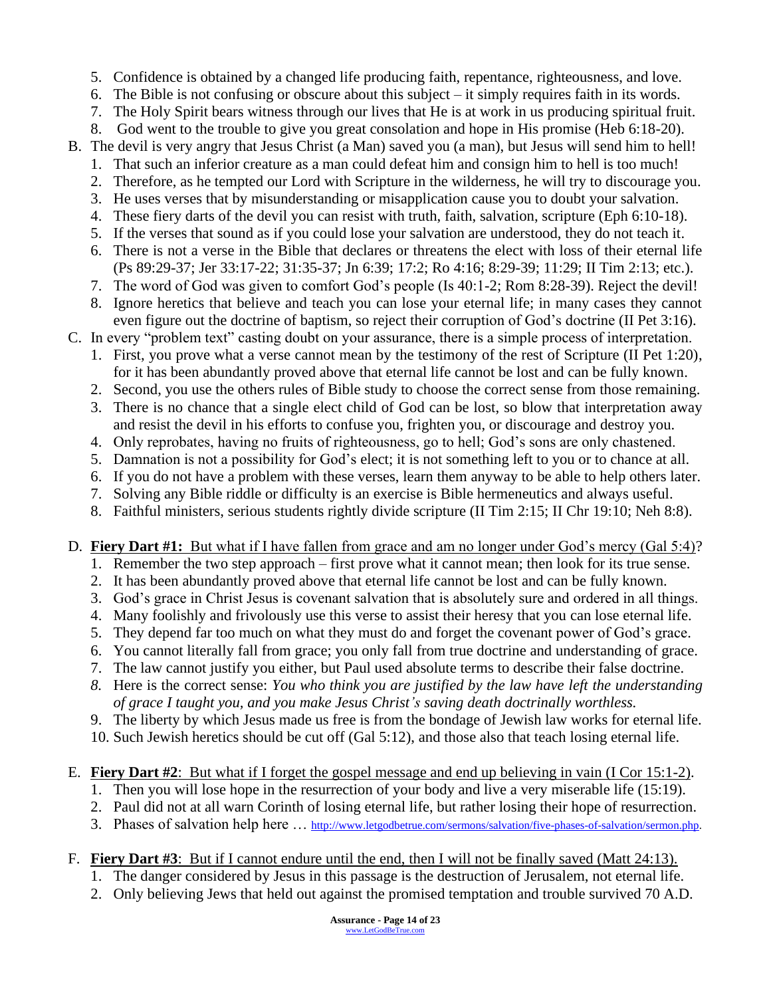- 5. Confidence is obtained by a changed life producing faith, repentance, righteousness, and love.
- 6. The Bible is not confusing or obscure about this subject it simply requires faith in its words.
- 7. The Holy Spirit bears witness through our lives that He is at work in us producing spiritual fruit.
- 8. God went to the trouble to give you great consolation and hope in His promise (Heb 6:18-20).
- B. The devil is very angry that Jesus Christ (a Man) saved you (a man), but Jesus will send him to hell!
	- 1. That such an inferior creature as a man could defeat him and consign him to hell is too much!
	- 2. Therefore, as he tempted our Lord with Scripture in the wilderness, he will try to discourage you.
	- 3. He uses verses that by misunderstanding or misapplication cause you to doubt your salvation.
	- 4. These fiery darts of the devil you can resist with truth, faith, salvation, scripture (Eph 6:10-18).
	- 5. If the verses that sound as if you could lose your salvation are understood, they do not teach it.
	- 6. There is not a verse in the Bible that declares or threatens the elect with loss of their eternal life (Ps 89:29-37; Jer 33:17-22; 31:35-37; Jn 6:39; 17:2; Ro 4:16; 8:29-39; 11:29; II Tim 2:13; etc.).
	- 7. The word of God was given to comfort God's people (Is 40:1-2; Rom 8:28-39). Reject the devil!
	- 8. Ignore heretics that believe and teach you can lose your eternal life; in many cases they cannot even figure out the doctrine of baptism, so reject their corruption of God's doctrine (II Pet 3:16).
- C. In every "problem text" casting doubt on your assurance, there is a simple process of interpretation.
	- 1. First, you prove what a verse cannot mean by the testimony of the rest of Scripture (II Pet 1:20), for it has been abundantly proved above that eternal life cannot be lost and can be fully known.
	- 2. Second, you use the others rules of Bible study to choose the correct sense from those remaining.
	- 3. There is no chance that a single elect child of God can be lost, so blow that interpretation away and resist the devil in his efforts to confuse you, frighten you, or discourage and destroy you.
	- 4. Only reprobates, having no fruits of righteousness, go to hell; God's sons are only chastened.
	- 5. Damnation is not a possibility for God's elect; it is not something left to you or to chance at all.
	- 6. If you do not have a problem with these verses, learn them anyway to be able to help others later.
	- 7. Solving any Bible riddle or difficulty is an exercise is Bible hermeneutics and always useful.
	- 8. Faithful ministers, serious students rightly divide scripture (II Tim 2:15; II Chr 19:10; Neh 8:8).

#### D. **Fiery Dart #1:** But what if I have fallen from grace and am no longer under God's mercy (Gal 5:4)?

- 1. Remember the two step approach first prove what it cannot mean; then look for its true sense.
- 2. It has been abundantly proved above that eternal life cannot be lost and can be fully known.
- 3. God's grace in Christ Jesus is covenant salvation that is absolutely sure and ordered in all things.
- 4. Many foolishly and frivolously use this verse to assist their heresy that you can lose eternal life.
- 5. They depend far too much on what they must do and forget the covenant power of God's grace.
- 6. You cannot literally fall from grace; you only fall from true doctrine and understanding of grace.
- 7. The law cannot justify you either, but Paul used absolute terms to describe their false doctrine.
- *8.* Here is the correct sense: *You who think you are justified by the law have left the understanding of grace I taught you, and you make Jesus Christ's saving death doctrinally worthless.*
- 9. The liberty by which Jesus made us free is from the bondage of Jewish law works for eternal life.
- 10. Such Jewish heretics should be cut off (Gal 5:12), and those also that teach losing eternal life.

#### E. **Fiery Dart #2**: But what if I forget the gospel message and end up believing in vain (I Cor 15:1-2).

- 1. Then you will lose hope in the resurrection of your body and live a very miserable life (15:19).
- 2. Paul did not at all warn Corinth of losing eternal life, but rather losing their hope of resurrection.
- 3. Phases of salvation help here … [http://www.letgodbetrue.com/sermons/salvation/five-phases-of-salvation/sermon.php.](http://www.letgodbetrue.com/sermons/salvation/five-phases-of-salvation/sermon.php)

#### F. **Fiery Dart #3**: But if I cannot endure until the end, then I will not be finally saved (Matt 24:13).

- 1. The danger considered by Jesus in this passage is the destruction of Jerusalem, not eternal life.
- 2. Only believing Jews that held out against the promised temptation and trouble survived 70 A.D.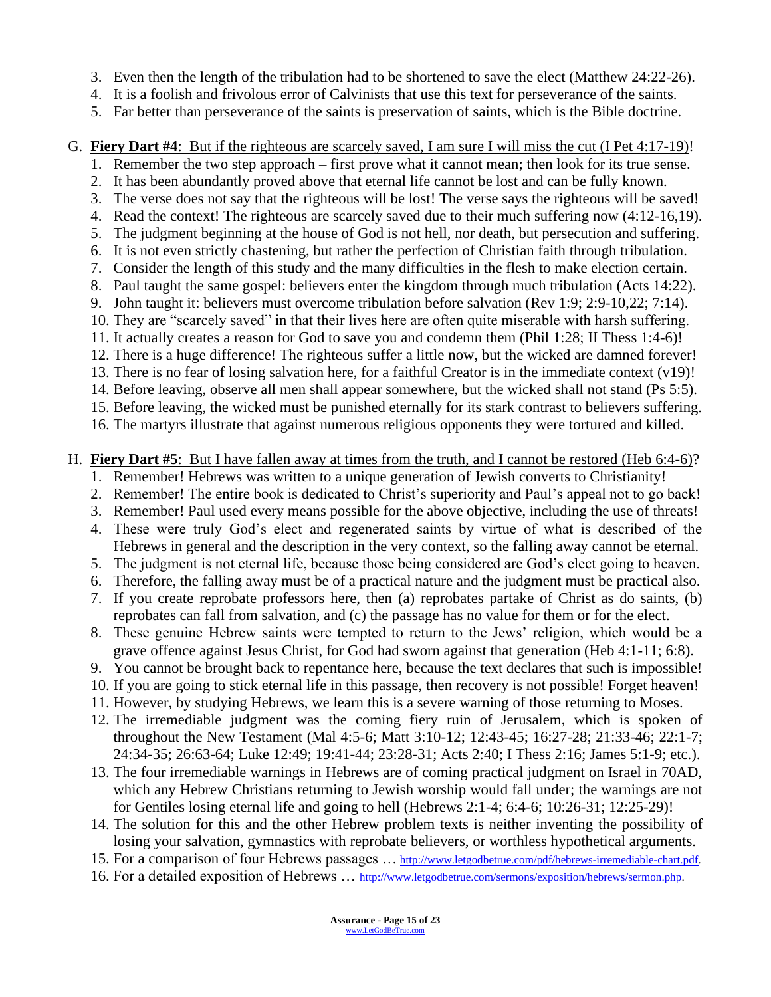- 3. Even then the length of the tribulation had to be shortened to save the elect (Matthew 24:22-26).
- 4. It is a foolish and frivolous error of Calvinists that use this text for perseverance of the saints.
- 5. Far better than perseverance of the saints is preservation of saints, which is the Bible doctrine.

#### G. **Fiery Dart #4**: But if the righteous are scarcely saved, I am sure I will miss the cut (I Pet 4:17-19)!

- 1. Remember the two step approach first prove what it cannot mean; then look for its true sense.
- 2. It has been abundantly proved above that eternal life cannot be lost and can be fully known.
- 3. The verse does not say that the righteous will be lost! The verse says the righteous will be saved!
- 4. Read the context! The righteous are scarcely saved due to their much suffering now (4:12-16,19).
- 5. The judgment beginning at the house of God is not hell, nor death, but persecution and suffering.
- 6. It is not even strictly chastening, but rather the perfection of Christian faith through tribulation. 7. Consider the length of this study and the many difficulties in the flesh to make election certain.
- 8. Paul taught the same gospel: believers enter the kingdom through much tribulation (Acts 14:22).
- 9. John taught it: believers must overcome tribulation before salvation (Rev 1:9; 2:9-10,22; 7:14).
- 10. They are "scarcely saved" in that their lives here are often quite miserable with harsh suffering.
- 11. It actually creates a reason for God to save you and condemn them (Phil 1:28; II Thess 1:4-6)!
- 12. There is a huge difference! The righteous suffer a little now, but the wicked are damned forever!
- 13. There is no fear of losing salvation here, for a faithful Creator is in the immediate context (v19)!
- 14. Before leaving, observe all men shall appear somewhere, but the wicked shall not stand (Ps 5:5).
- 15. Before leaving, the wicked must be punished eternally for its stark contrast to believers suffering.

16. The martyrs illustrate that against numerous religious opponents they were tortured and killed.

## H. **Fiery Dart #5**: But I have fallen away at times from the truth, and I cannot be restored (Heb 6:4-6)?

- 1. Remember! Hebrews was written to a unique generation of Jewish converts to Christianity!
- 2. Remember! The entire book is dedicated to Christ's superiority and Paul's appeal not to go back!
- 3. Remember! Paul used every means possible for the above objective, including the use of threats!
- 4. These were truly God's elect and regenerated saints by virtue of what is described of the Hebrews in general and the description in the very context, so the falling away cannot be eternal.
- 5. The judgment is not eternal life, because those being considered are God's elect going to heaven.
- 6. Therefore, the falling away must be of a practical nature and the judgment must be practical also.
- 7. If you create reprobate professors here, then (a) reprobates partake of Christ as do saints, (b) reprobates can fall from salvation, and (c) the passage has no value for them or for the elect.
- 8. These genuine Hebrew saints were tempted to return to the Jews' religion, which would be a grave offence against Jesus Christ, for God had sworn against that generation (Heb 4:1-11; 6:8).
- 9. You cannot be brought back to repentance here, because the text declares that such is impossible!
- 10. If you are going to stick eternal life in this passage, then recovery is not possible! Forget heaven!
- 11. However, by studying Hebrews, we learn this is a severe warning of those returning to Moses.
- 12. The irremediable judgment was the coming fiery ruin of Jerusalem, which is spoken of throughout the New Testament (Mal 4:5-6; Matt 3:10-12; 12:43-45; 16:27-28; 21:33-46; 22:1-7; 24:34-35; 26:63-64; Luke 12:49; 19:41-44; 23:28-31; Acts 2:40; I Thess 2:16; James 5:1-9; etc.).
- 13. The four irremediable warnings in Hebrews are of coming practical judgment on Israel in 70AD, which any Hebrew Christians returning to Jewish worship would fall under; the warnings are not for Gentiles losing eternal life and going to hell (Hebrews 2:1-4; 6:4-6; 10:26-31; 12:25-29)!
- 14. The solution for this and the other Hebrew problem texts is neither inventing the possibility of losing your salvation, gymnastics with reprobate believers, or worthless hypothetical arguments.
- 15. For a comparison of four Hebrews passages … [http://www.letgodbetrue.com/pdf/hebrews-irremediable-chart.pdf.](http://www.letgodbetrue.com/pdf/hebrews-irremediable-chart.pdf)
- 16. For a detailed exposition of Hebrews ... [http://www.letgodbetrue.com/sermons/exposition/hebrews/sermon.php.](http://www.letgodbetrue.com/sermons/exposition/hebrews/sermon.php)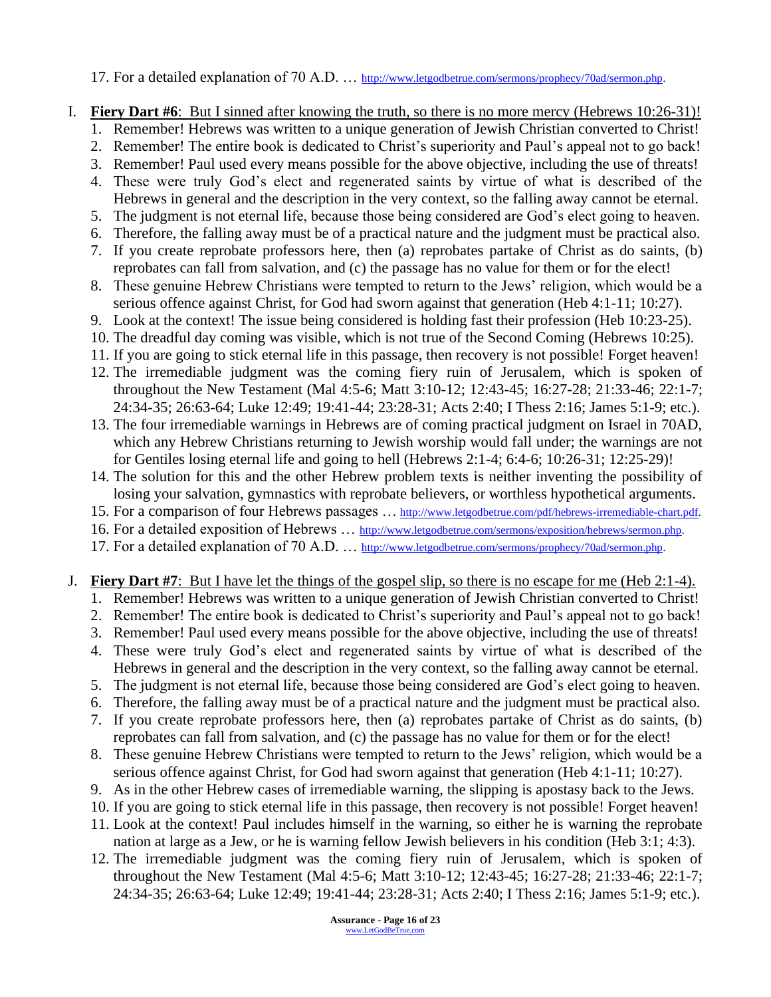17. For a detailed explanation of 70 A.D. ... http://www.letgodbetrue.com/sermons/prophecy/70ad/sermon.php.

#### I. **Fiery Dart #6**: But I sinned after knowing the truth, so there is no more mercy (Hebrews 10:26-31)!

- 1. Remember! Hebrews was written to a unique generation of Jewish Christian converted to Christ!
- 2. Remember! The entire book is dedicated to Christ's superiority and Paul's appeal not to go back!
- 3. Remember! Paul used every means possible for the above objective, including the use of threats!
- 4. These were truly God's elect and regenerated saints by virtue of what is described of the Hebrews in general and the description in the very context, so the falling away cannot be eternal.
- 5. The judgment is not eternal life, because those being considered are God's elect going to heaven.
- 6. Therefore, the falling away must be of a practical nature and the judgment must be practical also.
- 7. If you create reprobate professors here, then (a) reprobates partake of Christ as do saints, (b) reprobates can fall from salvation, and (c) the passage has no value for them or for the elect!
- 8. These genuine Hebrew Christians were tempted to return to the Jews' religion, which would be a serious offence against Christ, for God had sworn against that generation (Heb 4:1-11; 10:27).
- 9. Look at the context! The issue being considered is holding fast their profession (Heb 10:23-25).
- 10. The dreadful day coming was visible, which is not true of the Second Coming (Hebrews 10:25).
- 11. If you are going to stick eternal life in this passage, then recovery is not possible! Forget heaven!
- 12. The irremediable judgment was the coming fiery ruin of Jerusalem, which is spoken of throughout the New Testament (Mal 4:5-6; Matt 3:10-12; 12:43-45; 16:27-28; 21:33-46; 22:1-7; 24:34-35; 26:63-64; Luke 12:49; 19:41-44; 23:28-31; Acts 2:40; I Thess 2:16; James 5:1-9; etc.).
- 13. The four irremediable warnings in Hebrews are of coming practical judgment on Israel in 70AD, which any Hebrew Christians returning to Jewish worship would fall under; the warnings are not for Gentiles losing eternal life and going to hell (Hebrews 2:1-4; 6:4-6; 10:26-31; 12:25-29)!
- 14. The solution for this and the other Hebrew problem texts is neither inventing the possibility of losing your salvation, gymnastics with reprobate believers, or worthless hypothetical arguments.
- 15. For a comparison of four Hebrews passages ... [http://www.letgodbetrue.com/pdf/hebrews-irremediable-chart.pdf.](http://www.letgodbetrue.com/pdf/hebrews-irremediable-chart.pdf)
- 16. For a detailed exposition of Hebrews ... [http://www.letgodbetrue.com/sermons/exposition/hebrews/sermon.php.](http://www.letgodbetrue.com/sermons/exposition/hebrews/sermon.php)
- 17. For a detailed explanation of 70 A.D. ... http://www.letgodbetrue.com/sermons/prophecy/70ad/sermon.php.

#### J. **Fiery Dart #7**: But I have let the things of the gospel slip, so there is no escape for me (Heb 2:1-4).

- 1. Remember! Hebrews was written to a unique generation of Jewish Christian converted to Christ!
- 2. Remember! The entire book is dedicated to Christ's superiority and Paul's appeal not to go back!
- 3. Remember! Paul used every means possible for the above objective, including the use of threats!
- 4. These were truly God's elect and regenerated saints by virtue of what is described of the Hebrews in general and the description in the very context, so the falling away cannot be eternal.
- 5. The judgment is not eternal life, because those being considered are God's elect going to heaven.
- 6. Therefore, the falling away must be of a practical nature and the judgment must be practical also.
- 7. If you create reprobate professors here, then (a) reprobates partake of Christ as do saints, (b) reprobates can fall from salvation, and (c) the passage has no value for them or for the elect!
- 8. These genuine Hebrew Christians were tempted to return to the Jews' religion, which would be a serious offence against Christ, for God had sworn against that generation (Heb 4:1-11; 10:27).
- 9. As in the other Hebrew cases of irremediable warning, the slipping is apostasy back to the Jews.
- 10. If you are going to stick eternal life in this passage, then recovery is not possible! Forget heaven!
- 11. Look at the context! Paul includes himself in the warning, so either he is warning the reprobate nation at large as a Jew, or he is warning fellow Jewish believers in his condition (Heb 3:1; 4:3).
- 12. The irremediable judgment was the coming fiery ruin of Jerusalem, which is spoken of throughout the New Testament (Mal 4:5-6; Matt 3:10-12; 12:43-45; 16:27-28; 21:33-46; 22:1-7; 24:34-35; 26:63-64; Luke 12:49; 19:41-44; 23:28-31; Acts 2:40; I Thess 2:16; James 5:1-9; etc.).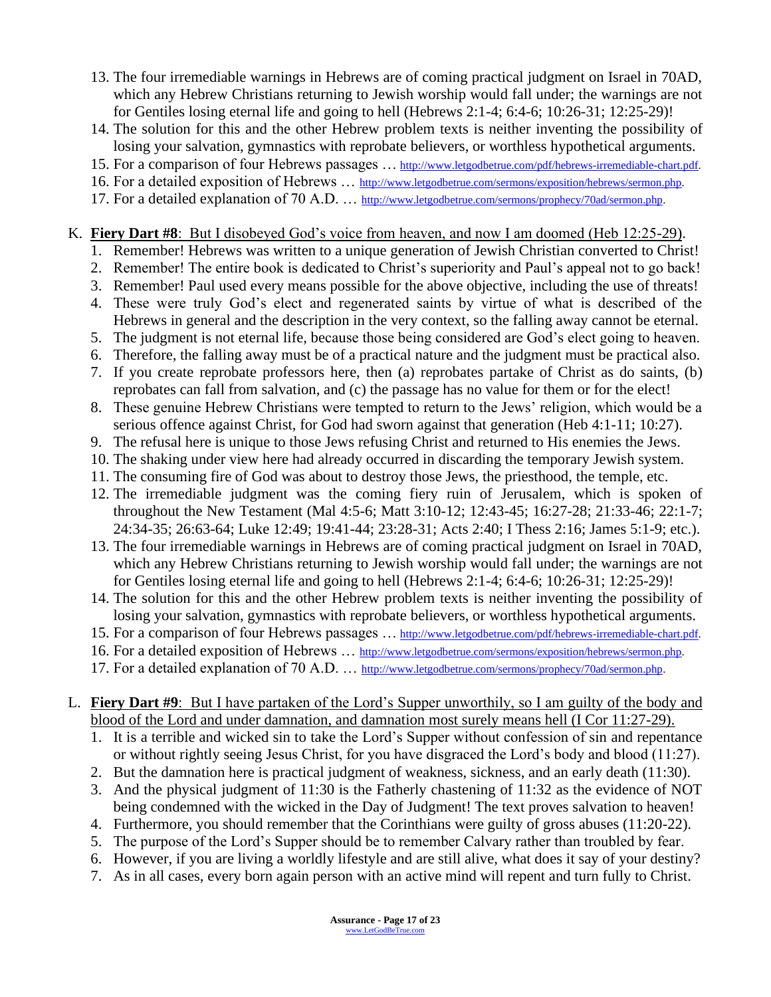- 13. The four irremediable warnings in Hebrews are of coming practical judgment on Israel in 70AD, which any Hebrew Christians returning to Jewish worship would fall under; the warnings are not for Gentiles losing eternal life and going to hell (Hebrews 2:1-4; 6:4-6; 10:26-31; 12:25-29)!
- 14. The solution for this and the other Hebrew problem texts is neither inventing the possibility of losing your salvation, gymnastics with reprobate believers, or worthless hypothetical arguments.
- 15. For a comparison of four Hebrews passages … [http://www.letgodbetrue.com/pdf/hebrews-irremediable-chart.pdf.](http://www.letgodbetrue.com/pdf/hebrews-irremediable-chart.pdf)
- 16. For a detailed exposition of Hebrews … [http://www.letgodbetrue.com/sermons/exposition/hebrews/sermon.php.](http://www.letgodbetrue.com/sermons/exposition/hebrews/sermon.php)
- 17. For a detailed explanation of 70 A.D. ... http://www.letgodbetrue.com/sermons/prophecy/70ad/sermon.php.

#### K. **Fiery Dart #8**: But I disobeyed God's voice from heaven, and now I am doomed (Heb 12:25-29).

- 1. Remember! Hebrews was written to a unique generation of Jewish Christian converted to Christ!
- 2. Remember! The entire book is dedicated to Christ's superiority and Paul's appeal not to go back!
- 3. Remember! Paul used every means possible for the above objective, including the use of threats!
- 4. These were truly God's elect and regenerated saints by virtue of what is described of the Hebrews in general and the description in the very context, so the falling away cannot be eternal.
- 5. The judgment is not eternal life, because those being considered are God's elect going to heaven.
- 6. Therefore, the falling away must be of a practical nature and the judgment must be practical also.
- 7. If you create reprobate professors here, then (a) reprobates partake of Christ as do saints, (b) reprobates can fall from salvation, and (c) the passage has no value for them or for the elect!
- 8. These genuine Hebrew Christians were tempted to return to the Jews' religion, which would be a serious offence against Christ, for God had sworn against that generation (Heb 4:1-11; 10:27).
- 9. The refusal here is unique to those Jews refusing Christ and returned to His enemies the Jews.
- 10. The shaking under view here had already occurred in discarding the temporary Jewish system.
- 11. The consuming fire of God was about to destroy those Jews, the priesthood, the temple, etc.
- 12. The irremediable judgment was the coming fiery ruin of Jerusalem, which is spoken of throughout the New Testament (Mal 4:5-6; Matt 3:10-12; 12:43-45; 16:27-28; 21:33-46; 22:1-7; 24:34-35; 26:63-64; Luke 12:49; 19:41-44; 23:28-31; Acts 2:40; I Thess 2:16; James 5:1-9; etc.).
- 13. The four irremediable warnings in Hebrews are of coming practical judgment on Israel in 70AD, which any Hebrew Christians returning to Jewish worship would fall under; the warnings are not for Gentiles losing eternal life and going to hell (Hebrews 2:1-4; 6:4-6; 10:26-31; 12:25-29)!
- 14. The solution for this and the other Hebrew problem texts is neither inventing the possibility of losing your salvation, gymnastics with reprobate believers, or worthless hypothetical arguments.
- 15. For a comparison of four Hebrews passages … [http://www.letgodbetrue.com/pdf/hebrews-irremediable-chart.pdf.](http://www.letgodbetrue.com/pdf/hebrews-irremediable-chart.pdf)
- 16. For a detailed exposition of Hebrews ... [http://www.letgodbetrue.com/sermons/exposition/hebrews/sermon.php.](http://www.letgodbetrue.com/sermons/exposition/hebrews/sermon.php)
- 17. For a detailed explanation of 70 A.D. ... http://www.letgodbetrue.com/sermons/prophecy/70ad/sermon.php.
- L. **Fiery Dart #9**: But I have partaken of the Lord's Supper unworthily, so I am guilty of the body and blood of the Lord and under damnation, and damnation most surely means hell (I Cor 11:27-29).
	- 1. It is a terrible and wicked sin to take the Lord's Supper without confession of sin and repentance or without rightly seeing Jesus Christ, for you have disgraced the Lord's body and blood (11:27).
	- 2. But the damnation here is practical judgment of weakness, sickness, and an early death (11:30).
	- 3. And the physical judgment of 11:30 is the Fatherly chastening of 11:32 as the evidence of NOT being condemned with the wicked in the Day of Judgment! The text proves salvation to heaven!
	- 4. Furthermore, you should remember that the Corinthians were guilty of gross abuses (11:20-22).
	- 5. The purpose of the Lord's Supper should be to remember Calvary rather than troubled by fear.
	- 6. However, if you are living a worldly lifestyle and are still alive, what does it say of your destiny?
	- 7. As in all cases, every born again person with an active mind will repent and turn fully to Christ.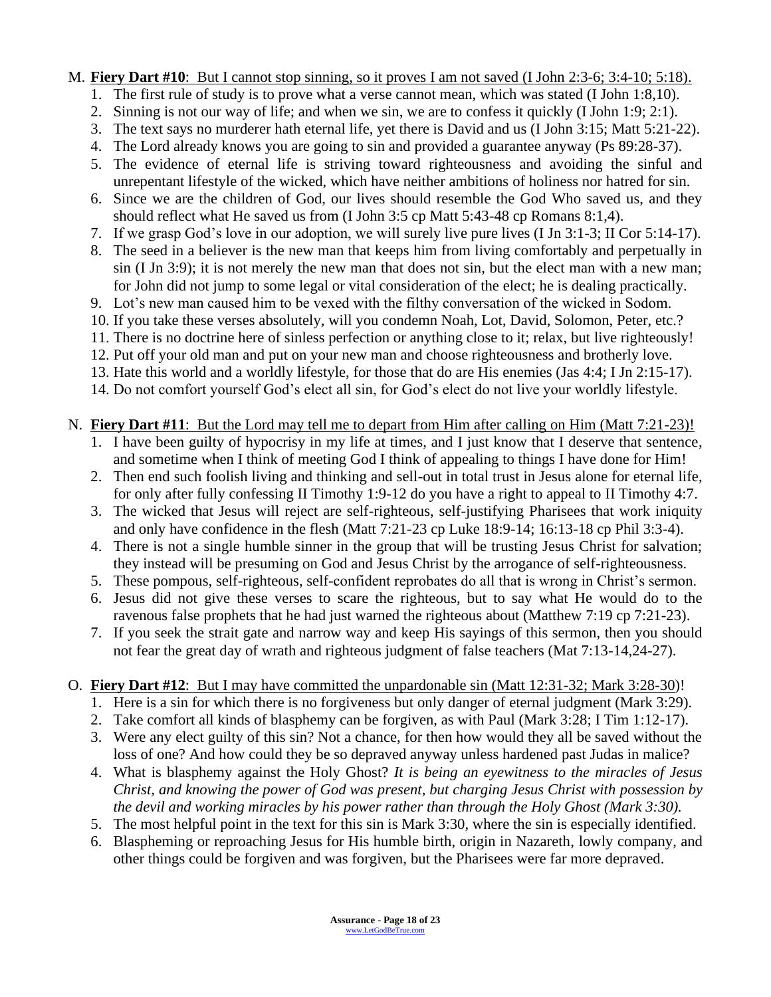#### M. **Fiery Dart #10**: But I cannot stop sinning, so it proves I am not saved (I John 2:3-6; 3:4-10; 5:18).

- 1. The first rule of study is to prove what a verse cannot mean, which was stated (I John 1:8,10).
- 2. Sinning is not our way of life; and when we sin, we are to confess it quickly (I John 1:9; 2:1).
- 3. The text says no murderer hath eternal life, yet there is David and us (I John 3:15; Matt 5:21-22).
- 4. The Lord already knows you are going to sin and provided a guarantee anyway (Ps 89:28-37).
- 5. The evidence of eternal life is striving toward righteousness and avoiding the sinful and unrepentant lifestyle of the wicked, which have neither ambitions of holiness nor hatred for sin.
- 6. Since we are the children of God, our lives should resemble the God Who saved us, and they should reflect what He saved us from (I John 3:5 cp Matt 5:43-48 cp Romans 8:1,4).
- 7. If we grasp God's love in our adoption, we will surely live pure lives (I Jn 3:1-3; II Cor 5:14-17).
- 8. The seed in a believer is the new man that keeps him from living comfortably and perpetually in sin (I Jn 3:9); it is not merely the new man that does not sin, but the elect man with a new man; for John did not jump to some legal or vital consideration of the elect; he is dealing practically.
- 9. Lot's new man caused him to be vexed with the filthy conversation of the wicked in Sodom.
- 10. If you take these verses absolutely, will you condemn Noah, Lot, David, Solomon, Peter, etc.?
- 11. There is no doctrine here of sinless perfection or anything close to it; relax, but live righteously!
- 12. Put off your old man and put on your new man and choose righteousness and brotherly love.
- 13. Hate this world and a worldly lifestyle, for those that do are His enemies (Jas 4:4; I Jn 2:15-17).
- 14. Do not comfort yourself God's elect all sin, for God's elect do not live your worldly lifestyle.

#### N. **Fiery Dart #11**: But the Lord may tell me to depart from Him after calling on Him (Matt 7:21-23)!

- 1. I have been guilty of hypocrisy in my life at times, and I just know that I deserve that sentence, and sometime when I think of meeting God I think of appealing to things I have done for Him!
- 2. Then end such foolish living and thinking and sell-out in total trust in Jesus alone for eternal life, for only after fully confessing II Timothy 1:9-12 do you have a right to appeal to II Timothy 4:7.
- 3. The wicked that Jesus will reject are self-righteous, self-justifying Pharisees that work iniquity and only have confidence in the flesh (Matt 7:21-23 cp Luke 18:9-14; 16:13-18 cp Phil 3:3-4).
- 4. There is not a single humble sinner in the group that will be trusting Jesus Christ for salvation; they instead will be presuming on God and Jesus Christ by the arrogance of self-righteousness.
- 5. These pompous, self-righteous, self-confident reprobates do all that is wrong in Christ's sermon.
- 6. Jesus did not give these verses to scare the righteous, but to say what He would do to the ravenous false prophets that he had just warned the righteous about (Matthew 7:19 cp 7:21-23).
- 7. If you seek the strait gate and narrow way and keep His sayings of this sermon, then you should not fear the great day of wrath and righteous judgment of false teachers (Mat 7:13-14,24-27).

### O. **Fiery Dart #12**: But I may have committed the unpardonable sin (Matt 12:31-32; Mark 3:28-30)!

- 1. Here is a sin for which there is no forgiveness but only danger of eternal judgment (Mark 3:29).
- 2. Take comfort all kinds of blasphemy can be forgiven, as with Paul (Mark 3:28; I Tim 1:12-17).
- 3. Were any elect guilty of this sin? Not a chance, for then how would they all be saved without the loss of one? And how could they be so depraved anyway unless hardened past Judas in malice?
- 4. What is blasphemy against the Holy Ghost? *It is being an eyewitness to the miracles of Jesus Christ, and knowing the power of God was present, but charging Jesus Christ with possession by the devil and working miracles by his power rather than through the Holy Ghost (Mark 3:30).*
- 5. The most helpful point in the text for this sin is Mark 3:30, where the sin is especially identified.
- 6. Blaspheming or reproaching Jesus for His humble birth, origin in Nazareth, lowly company, and other things could be forgiven and was forgiven, but the Pharisees were far more depraved.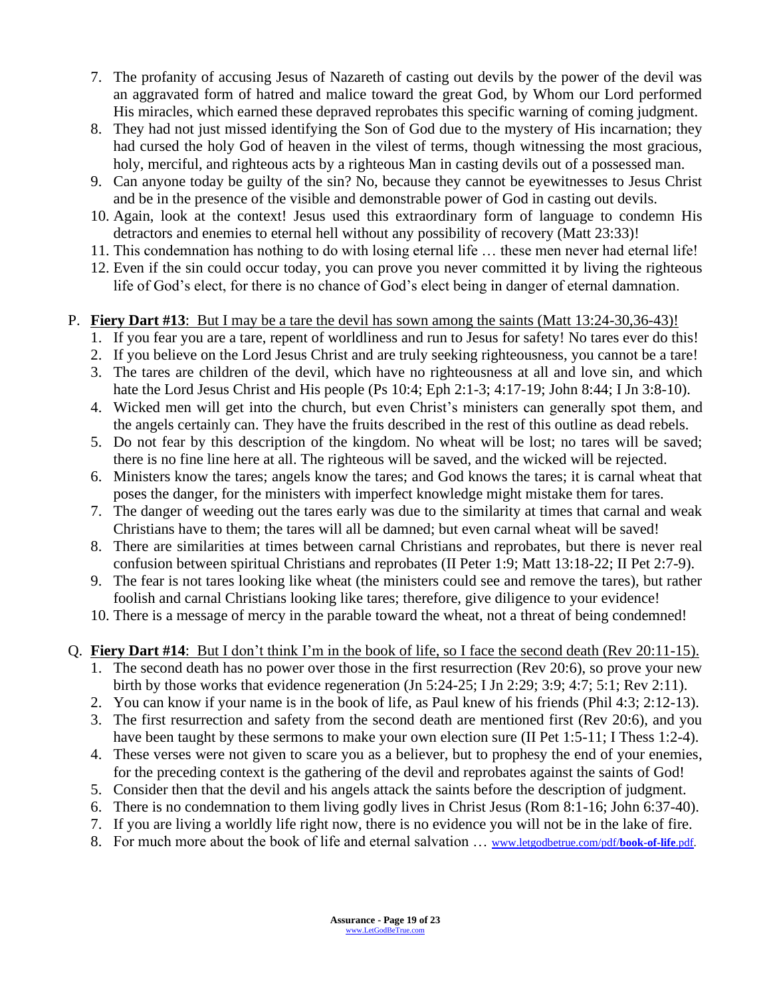- 7. The profanity of accusing Jesus of Nazareth of casting out devils by the power of the devil was an aggravated form of hatred and malice toward the great God, by Whom our Lord performed His miracles, which earned these depraved reprobates this specific warning of coming judgment.
- 8. They had not just missed identifying the Son of God due to the mystery of His incarnation; they had cursed the holy God of heaven in the vilest of terms, though witnessing the most gracious, holy, merciful, and righteous acts by a righteous Man in casting devils out of a possessed man.
- 9. Can anyone today be guilty of the sin? No, because they cannot be eyewitnesses to Jesus Christ and be in the presence of the visible and demonstrable power of God in casting out devils.
- 10. Again, look at the context! Jesus used this extraordinary form of language to condemn His detractors and enemies to eternal hell without any possibility of recovery (Matt 23:33)!
- 11. This condemnation has nothing to do with losing eternal life … these men never had eternal life!
- 12. Even if the sin could occur today, you can prove you never committed it by living the righteous life of God's elect, for there is no chance of God's elect being in danger of eternal damnation.

#### P. **Fiery Dart #13**: But I may be a tare the devil has sown among the saints (Matt 13:24-30,36-43)!

- 1. If you fear you are a tare, repent of worldliness and run to Jesus for safety! No tares ever do this!
- 2. If you believe on the Lord Jesus Christ and are truly seeking righteousness, you cannot be a tare!
- 3. The tares are children of the devil, which have no righteousness at all and love sin, and which hate the Lord Jesus Christ and His people (Ps 10:4; Eph 2:1-3; 4:17-19; John 8:44; I Jn 3:8-10).
- 4. Wicked men will get into the church, but even Christ's ministers can generally spot them, and the angels certainly can. They have the fruits described in the rest of this outline as dead rebels.
- 5. Do not fear by this description of the kingdom. No wheat will be lost; no tares will be saved; there is no fine line here at all. The righteous will be saved, and the wicked will be rejected.
- 6. Ministers know the tares; angels know the tares; and God knows the tares; it is carnal wheat that poses the danger, for the ministers with imperfect knowledge might mistake them for tares.
- 7. The danger of weeding out the tares early was due to the similarity at times that carnal and weak Christians have to them; the tares will all be damned; but even carnal wheat will be saved!
- 8. There are similarities at times between carnal Christians and reprobates, but there is never real confusion between spiritual Christians and reprobates (II Peter 1:9; Matt 13:18-22; II Pet 2:7-9).
- 9. The fear is not tares looking like wheat (the ministers could see and remove the tares), but rather foolish and carnal Christians looking like tares; therefore, give diligence to your evidence!
- 10. There is a message of mercy in the parable toward the wheat, not a threat of being condemned!
- Q. **Fiery Dart #14**: But I don't think I'm in the book of life, so I face the second death (Rev 20:11-15).
	- 1. The second death has no power over those in the first resurrection (Rev 20:6), so prove your new birth by those works that evidence regeneration (Jn 5:24-25; I Jn 2:29; 3:9; 4:7; 5:1; Rev 2:11).
	- 2. You can know if your name is in the book of life, as Paul knew of his friends (Phil 4:3; 2:12-13).
	- 3. The first resurrection and safety from the second death are mentioned first (Rev 20:6), and you have been taught by these sermons to make your own election sure (II Pet 1:5-11; I Thess 1:2-4).
	- 4. These verses were not given to scare you as a believer, but to prophesy the end of your enemies, for the preceding context is the gathering of the devil and reprobates against the saints of God!
	- 5. Consider then that the devil and his angels attack the saints before the description of judgment.
	- 6. There is no condemnation to them living godly lives in Christ Jesus (Rom 8:1-16; John 6:37-40).
	- 7. If you are living a worldly life right now, there is no evidence you will not be in the lake of fire.
	- 8. For much more about the book of life and eternal salvation … [www.letgodbetrue.com/pdf/](http://www.letgodbetrue.com/pdf/book-of-life.pdf)**book-of-life**.pdf.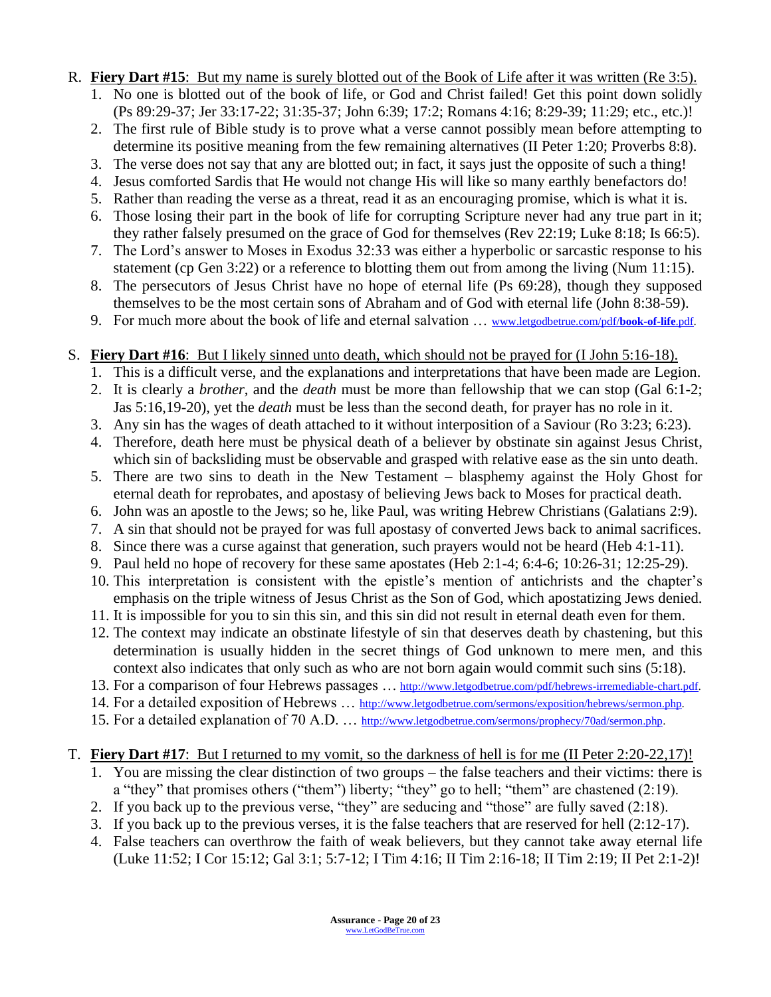- R. **Fiery Dart #15**: But my name is surely blotted out of the Book of Life after it was written (Re 3:5).
	- 1. No one is blotted out of the book of life, or God and Christ failed! Get this point down solidly (Ps 89:29-37; Jer 33:17-22; 31:35-37; John 6:39; 17:2; Romans 4:16; 8:29-39; 11:29; etc., etc.)!
	- 2. The first rule of Bible study is to prove what a verse cannot possibly mean before attempting to determine its positive meaning from the few remaining alternatives (II Peter 1:20; Proverbs 8:8).
	- 3. The verse does not say that any are blotted out; in fact, it says just the opposite of such a thing!
	- 4. Jesus comforted Sardis that He would not change His will like so many earthly benefactors do!
	- 5. Rather than reading the verse as a threat, read it as an encouraging promise, which is what it is.
	- 6. Those losing their part in the book of life for corrupting Scripture never had any true part in it; they rather falsely presumed on the grace of God for themselves (Rev 22:19; Luke 8:18; Is 66:5).
	- 7. The Lord's answer to Moses in Exodus 32:33 was either a hyperbolic or sarcastic response to his statement (cp Gen 3:22) or a reference to blotting them out from among the living (Num 11:15).
	- 8. The persecutors of Jesus Christ have no hope of eternal life (Ps 69:28), though they supposed themselves to be the most certain sons of Abraham and of God with eternal life (John 8:38-59).
	- 9. For much more about the book of life and eternal salvation … [www.letgodbetrue.com/pdf/](http://www.letgodbetrue.com/pdf/book-of-life.pdf)**book-of-life**.pdf.
- S. **Fiery Dart #16**: But I likely sinned unto death, which should not be prayed for (I John 5:16-18).
	- 1. This is a difficult verse, and the explanations and interpretations that have been made are Legion.
	- 2. It is clearly a *brother*, and the *death* must be more than fellowship that we can stop (Gal 6:1-2; Jas 5:16,19-20), yet the *death* must be less than the second death, for prayer has no role in it.
	- 3. Any sin has the wages of death attached to it without interposition of a Saviour (Ro 3:23; 6:23).
	- 4. Therefore, death here must be physical death of a believer by obstinate sin against Jesus Christ, which sin of backsliding must be observable and grasped with relative ease as the sin unto death.
	- 5. There are two sins to death in the New Testament blasphemy against the Holy Ghost for eternal death for reprobates, and apostasy of believing Jews back to Moses for practical death.
	- 6. John was an apostle to the Jews; so he, like Paul, was writing Hebrew Christians (Galatians 2:9).
	- 7. A sin that should not be prayed for was full apostasy of converted Jews back to animal sacrifices.
	- 8. Since there was a curse against that generation, such prayers would not be heard (Heb 4:1-11).
	- 9. Paul held no hope of recovery for these same apostates (Heb 2:1-4; 6:4-6; 10:26-31; 12:25-29).
	- 10. This interpretation is consistent with the epistle's mention of antichrists and the chapter's emphasis on the triple witness of Jesus Christ as the Son of God, which apostatizing Jews denied.
	- 11. It is impossible for you to sin this sin, and this sin did not result in eternal death even for them.
	- 12. The context may indicate an obstinate lifestyle of sin that deserves death by chastening, but this determination is usually hidden in the secret things of God unknown to mere men, and this context also indicates that only such as who are not born again would commit such sins (5:18).
	- 13. For a comparison of four Hebrews passages ... [http://www.letgodbetrue.com/pdf/hebrews-irremediable-chart.pdf.](http://www.letgodbetrue.com/pdf/hebrews-irremediable-chart.pdf)
	- 14. For a detailed exposition of Hebrews ... [http://www.letgodbetrue.com/sermons/exposition/hebrews/sermon.php.](http://www.letgodbetrue.com/sermons/exposition/hebrews/sermon.php)
	- 15. For a detailed explanation of 70 A.D. ... http://www.letgodbetrue.com/sermons/prophecy/70ad/sermon.php.

#### T. **Fiery Dart #17**: But I returned to my vomit, so the darkness of hell is for me (II Peter 2:20-22,17)!

- 1. You are missing the clear distinction of two groups the false teachers and their victims: there is a "they" that promises others ("them") liberty; "they" go to hell; "them" are chastened (2:19).
- 2. If you back up to the previous verse, "they" are seducing and "those" are fully saved (2:18).
- 3. If you back up to the previous verses, it is the false teachers that are reserved for hell (2:12-17).
- 4. False teachers can overthrow the faith of weak believers, but they cannot take away eternal life (Luke 11:52; I Cor 15:12; Gal 3:1; 5:7-12; I Tim 4:16; II Tim 2:16-18; II Tim 2:19; II Pet 2:1-2)!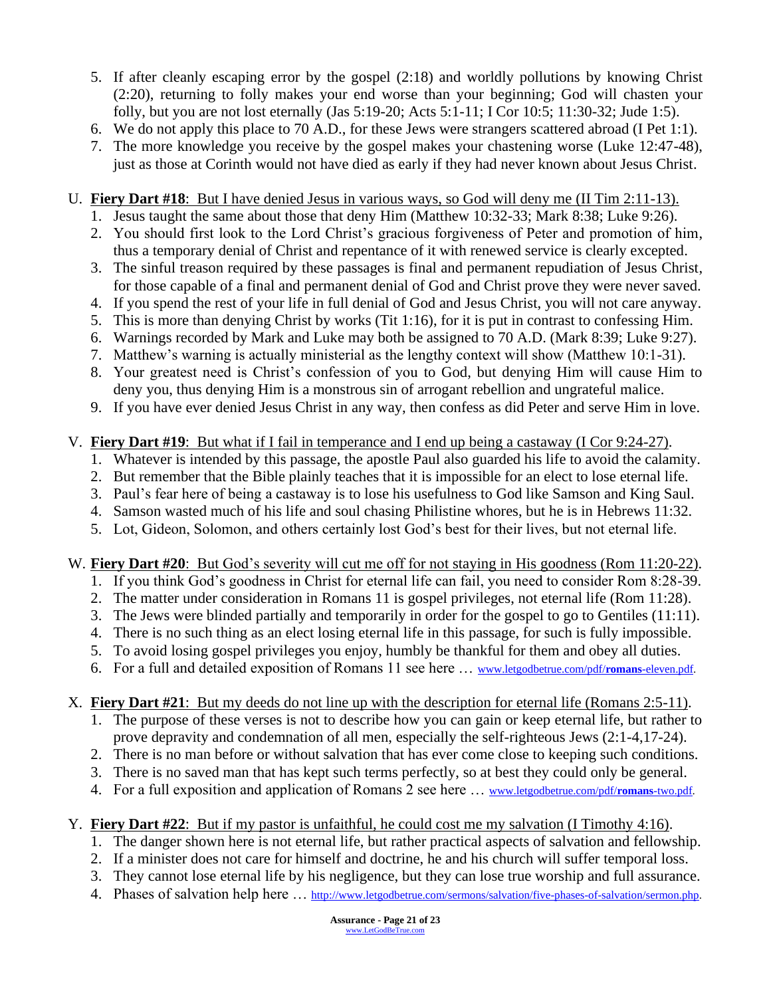- 5. If after cleanly escaping error by the gospel (2:18) and worldly pollutions by knowing Christ (2:20), returning to folly makes your end worse than your beginning; God will chasten your folly, but you are not lost eternally (Jas 5:19-20; Acts 5:1-11; I Cor 10:5; 11:30-32; Jude 1:5).
- 6. We do not apply this place to 70 A.D., for these Jews were strangers scattered abroad (I Pet 1:1).
- 7. The more knowledge you receive by the gospel makes your chastening worse (Luke 12:47-48), just as those at Corinth would not have died as early if they had never known about Jesus Christ.

#### U. **Fiery Dart #18**: But I have denied Jesus in various ways, so God will deny me (II Tim 2:11-13).

- 1. Jesus taught the same about those that deny Him (Matthew 10:32-33; Mark 8:38; Luke 9:26).
- 2. You should first look to the Lord Christ's gracious forgiveness of Peter and promotion of him, thus a temporary denial of Christ and repentance of it with renewed service is clearly excepted.
- 3. The sinful treason required by these passages is final and permanent repudiation of Jesus Christ, for those capable of a final and permanent denial of God and Christ prove they were never saved.
- 4. If you spend the rest of your life in full denial of God and Jesus Christ, you will not care anyway.
- 5. This is more than denying Christ by works (Tit 1:16), for it is put in contrast to confessing Him.
- 6. Warnings recorded by Mark and Luke may both be assigned to 70 A.D. (Mark 8:39; Luke 9:27).
- 7. Matthew's warning is actually ministerial as the lengthy context will show (Matthew 10:1-31).
- 8. Your greatest need is Christ's confession of you to God, but denying Him will cause Him to deny you, thus denying Him is a monstrous sin of arrogant rebellion and ungrateful malice.
- 9. If you have ever denied Jesus Christ in any way, then confess as did Peter and serve Him in love.

#### V. **Fiery Dart #19**: But what if I fail in temperance and I end up being a castaway (I Cor 9:24-27).

- 1. Whatever is intended by this passage, the apostle Paul also guarded his life to avoid the calamity.
- 2. But remember that the Bible plainly teaches that it is impossible for an elect to lose eternal life.
- 3. Paul's fear here of being a castaway is to lose his usefulness to God like Samson and King Saul.
- 4. Samson wasted much of his life and soul chasing Philistine whores, but he is in Hebrews 11:32.
- 5. Lot, Gideon, Solomon, and others certainly lost God's best for their lives, but not eternal life.

#### W. **Fiery Dart #20**: But God's severity will cut me off for not staying in His goodness (Rom 11:20-22).

- 1. If you think God's goodness in Christ for eternal life can fail, you need to consider Rom 8:28-39.
- 2. The matter under consideration in Romans 11 is gospel privileges, not eternal life (Rom 11:28).
- 3. The Jews were blinded partially and temporarily in order for the gospel to go to Gentiles (11:11).
- 4. There is no such thing as an elect losing eternal life in this passage, for such is fully impossible.
- 5. To avoid losing gospel privileges you enjoy, humbly be thankful for them and obey all duties.
- 6. For a full and detailed exposition of Romans 11 see here … [www.letgodbetrue.com/pdf/](http://www.letgodbetrue.com/pdf/romans-eleven.pdf)**romans**-eleven.pdf.
- X. **Fiery Dart #21**: But my deeds do not line up with the description for eternal life (Romans 2:5-11).
	- 1. The purpose of these verses is not to describe how you can gain or keep eternal life, but rather to prove depravity and condemnation of all men, especially the self-righteous Jews (2:1-4,17-24).
	- 2. There is no man before or without salvation that has ever come close to keeping such conditions.
	- 3. There is no saved man that has kept such terms perfectly, so at best they could only be general.
	- 4. For a full exposition and application of Romans 2 see here … [www.letgodbetrue.com/pdf/](http://www.letgodbetrue.com/pdf/romans-two.pdf)**romans**-two.pdf.
- Y. **Fiery Dart #22**: But if my pastor is unfaithful, he could cost me my salvation (I Timothy 4:16).
	- 1. The danger shown here is not eternal life, but rather practical aspects of salvation and fellowship.
	- 2. If a minister does not care for himself and doctrine, he and his church will suffer temporal loss.
	- 3. They cannot lose eternal life by his negligence, but they can lose true worship and full assurance.
	- 4. Phases of salvation help here … [http://www.letgodbetrue.com/sermons/salvation/five-phases-of-salvation/sermon.php.](http://www.letgodbetrue.com/sermons/salvation/five-phases-of-salvation/sermon.php)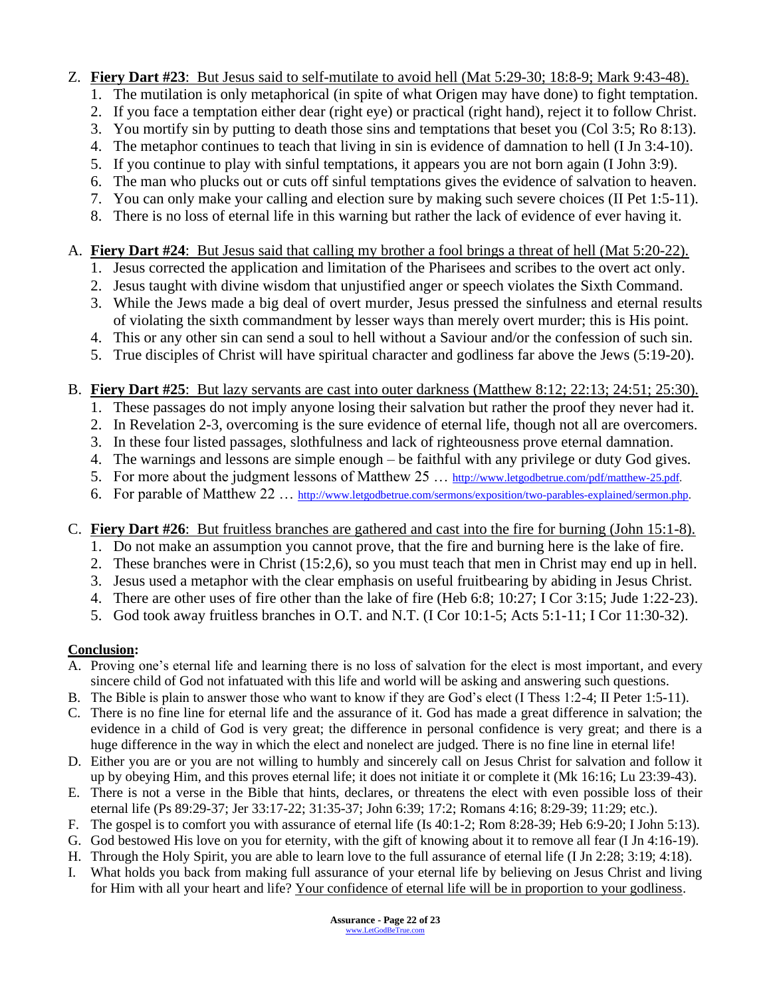#### Z. **Fiery Dart #23**: But Jesus said to self-mutilate to avoid hell (Mat 5:29-30; 18:8-9; Mark 9:43-48).

- 1. The mutilation is only metaphorical (in spite of what Origen may have done) to fight temptation.
- 2. If you face a temptation either dear (right eye) or practical (right hand), reject it to follow Christ.
- 3. You mortify sin by putting to death those sins and temptations that beset you (Col 3:5; Ro 8:13).
- 4. The metaphor continues to teach that living in sin is evidence of damnation to hell (I Jn 3:4-10).
- 5. If you continue to play with sinful temptations, it appears you are not born again (I John 3:9).
- 6. The man who plucks out or cuts off sinful temptations gives the evidence of salvation to heaven.
- 7. You can only make your calling and election sure by making such severe choices (II Pet 1:5-11).
- 8. There is no loss of eternal life in this warning but rather the lack of evidence of ever having it.

#### A. **Fiery Dart #24**: But Jesus said that calling my brother a fool brings a threat of hell (Mat 5:20-22).

- 1. Jesus corrected the application and limitation of the Pharisees and scribes to the overt act only.
- 2. Jesus taught with divine wisdom that unjustified anger or speech violates the Sixth Command.
- 3. While the Jews made a big deal of overt murder, Jesus pressed the sinfulness and eternal results of violating the sixth commandment by lesser ways than merely overt murder; this is His point.
- 4. This or any other sin can send a soul to hell without a Saviour and/or the confession of such sin.
- 5. True disciples of Christ will have spiritual character and godliness far above the Jews (5:19-20).

#### B. **Fiery Dart #25**: But lazy servants are cast into outer darkness (Matthew 8:12; 22:13; 24:51; 25:30).

- 1. These passages do not imply anyone losing their salvation but rather the proof they never had it.
- 2. In Revelation 2-3, overcoming is the sure evidence of eternal life, though not all are overcomers.
- 3. In these four listed passages, slothfulness and lack of righteousness prove eternal damnation.
- 4. The warnings and lessons are simple enough be faithful with any privilege or duty God gives.
- 5. For more about the judgment lessons of Matthew 25 ... [http://www.letgodbetrue.com/pdf/matthew-25.pdf.](http://www.letgodbetrue.com/pdf/matthew-25.pdf)
- 6. For parable of Matthew 22 … [http://www.letgodbetrue.com/sermons/exposition/two-parables-explained/sermon.php.](http://www.letgodbetrue.com/sermons/exposition/two-parables-explained/sermon.php)

#### C. **Fiery Dart #26**: But fruitless branches are gathered and cast into the fire for burning (John 15:1-8).

- 1. Do not make an assumption you cannot prove, that the fire and burning here is the lake of fire.
- 2. These branches were in Christ (15:2,6), so you must teach that men in Christ may end up in hell.
- 3. Jesus used a metaphor with the clear emphasis on useful fruitbearing by abiding in Jesus Christ.
- 4. There are other uses of fire other than the lake of fire (Heb 6:8; 10:27; I Cor 3:15; Jude 1:22-23).
- 5. God took away fruitless branches in O.T. and N.T. (I Cor 10:1-5; Acts 5:1-11; I Cor 11:30-32).

#### **Conclusion:**

- A. Proving one's eternal life and learning there is no loss of salvation for the elect is most important, and every sincere child of God not infatuated with this life and world will be asking and answering such questions.
- B. The Bible is plain to answer those who want to know if they are God's elect (I Thess 1:2-4; II Peter 1:5-11).
- C. There is no fine line for eternal life and the assurance of it. God has made a great difference in salvation; the evidence in a child of God is very great; the difference in personal confidence is very great; and there is a huge difference in the way in which the elect and nonelect are judged. There is no fine line in eternal life!
- D. Either you are or you are not willing to humbly and sincerely call on Jesus Christ for salvation and follow it up by obeying Him, and this proves eternal life; it does not initiate it or complete it (Mk 16:16; Lu 23:39-43).
- E. There is not a verse in the Bible that hints, declares, or threatens the elect with even possible loss of their eternal life (Ps 89:29-37; Jer 33:17-22; 31:35-37; John 6:39; 17:2; Romans 4:16; 8:29-39; 11:29; etc.).
- F. The gospel is to comfort you with assurance of eternal life (Is 40:1-2; Rom 8:28-39; Heb 6:9-20; I John 5:13).
- G. God bestowed His love on you for eternity, with the gift of knowing about it to remove all fear (I Jn 4:16-19).
- H. Through the Holy Spirit, you are able to learn love to the full assurance of eternal life (I Jn 2:28; 3:19; 4:18).
- I. What holds you back from making full assurance of your eternal life by believing on Jesus Christ and living for Him with all your heart and life? Your confidence of eternal life will be in proportion to your godliness.